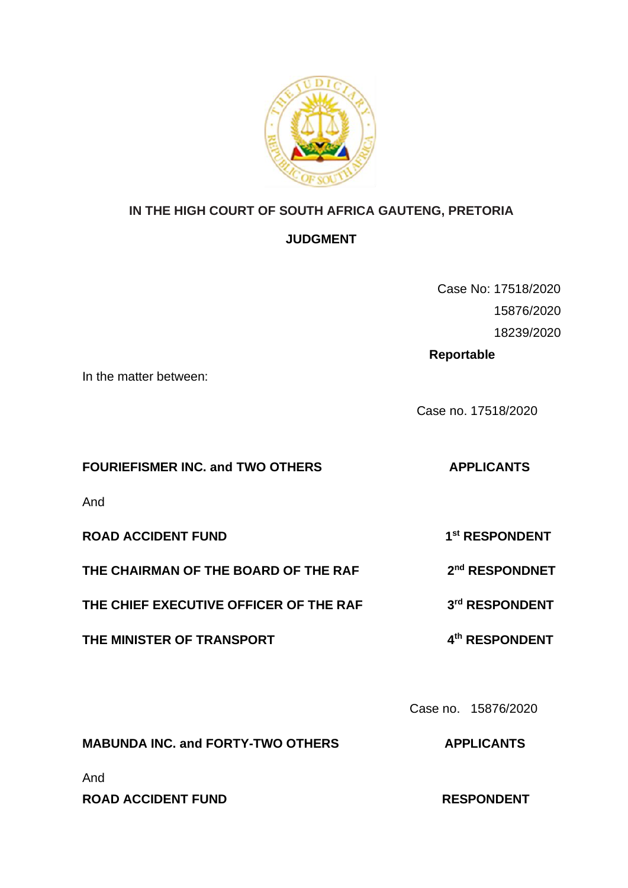

# **IN THE HIGH COURT OF SOUTH AFRICA GAUTENG, PRETORIA**

# **JUDGMENT**

Case No: 17518/2020 15876/2020 18239/2020

 **Reportable** 

In the matter between:

Case no. 17518/2020

# **FOURIEFISMER INC. and TWO OTHERS APPLICANTS**

**nd RESPONDNET** 

**rd RESPONDENT**

And

**ROAD ACCIDENT FUND 1 st RESPONDENT**

**THE CHAIRMAN OF THE BOARD OF THE RAF 2**

**THE CHIEF EXECUTIVE OFFICER OF THE RAF 3**

**THE MINISTER OF TRANSPORT th RESPONDENT**

Case no.15876/2020

**MABUNDA INC. and FORTY-TWO OTHERS APPLICANTS**

And

**ROAD ACCIDENT FUND RESPONDENT**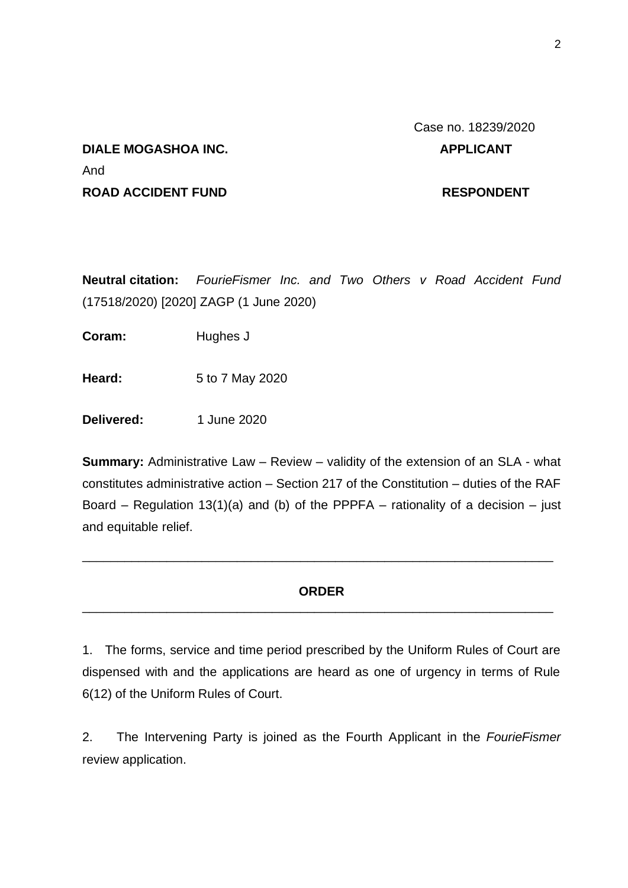# Case no. 18239/2020

# **DIALE MOGASHOA INC.** APPLICANT And **ROAD ACCIDENT FUND RESPONDENT**

**Neutral citation:** *FourieFismer Inc. and Two Others v Road Accident Fund* (17518/2020) [2020] ZAGP (1 June 2020)

**Coram:** Hughes J

**Heard:** 5 to 7 May 2020

**Delivered:** 1 June 2020

**Summary:** Administrative Law – Review – validity of the extension of an SLA - what constitutes administrative action – Section 217 of the Constitution – duties of the RAF Board – Regulation 13(1)(a) and (b) of the PPPFA – rationality of a decision – just and equitable relief.

## **ORDER**  \_\_\_\_\_\_\_\_\_\_\_\_\_\_\_\_\_\_\_\_\_\_\_\_\_\_\_\_\_\_\_\_\_\_\_\_\_\_\_\_\_\_\_\_\_\_\_\_\_\_\_\_\_\_\_\_\_\_\_\_\_\_\_\_\_\_\_

\_\_\_\_\_\_\_\_\_\_\_\_\_\_\_\_\_\_\_\_\_\_\_\_\_\_\_\_\_\_\_\_\_\_\_\_\_\_\_\_\_\_\_\_\_\_\_\_\_\_\_\_\_\_\_\_\_\_\_\_\_\_\_\_\_\_\_

1. The forms, service and time period prescribed by the Uniform Rules of Court are dispensed with and the applications are heard as one of urgency in terms of Rule 6(12) of the Uniform Rules of Court.

2. The Intervening Party is joined as the Fourth Applicant in the *FourieFismer* review application.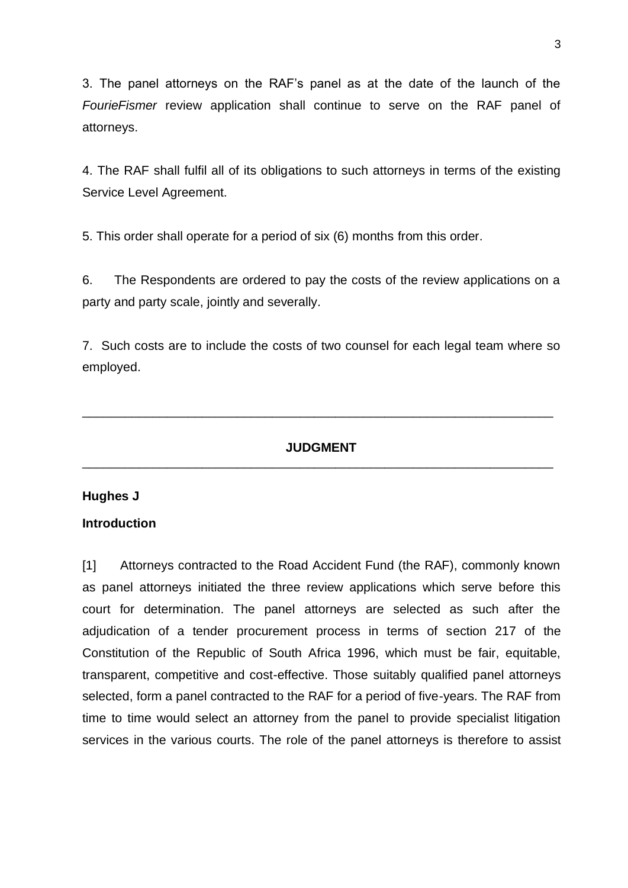3. The panel attorneys on the RAF's panel as at the date of the launch of the *FourieFismer* review application shall continue to serve on the RAF panel of attorneys.

4. The RAF shall fulfil all of its obligations to such attorneys in terms of the existing Service Level Agreement.

5. This order shall operate for a period of six (6) months from this order.

6. The Respondents are ordered to pay the costs of the review applications on a party and party scale, jointly and severally.

7. Such costs are to include the costs of two counsel for each legal team where so employed.

#### **JUDGMENT** \_\_\_\_\_\_\_\_\_\_\_\_\_\_\_\_\_\_\_\_\_\_\_\_\_\_\_\_\_\_\_\_\_\_\_\_\_\_\_\_\_\_\_\_\_\_\_\_\_\_\_\_\_\_\_\_\_\_\_\_\_\_\_\_\_\_\_

\_\_\_\_\_\_\_\_\_\_\_\_\_\_\_\_\_\_\_\_\_\_\_\_\_\_\_\_\_\_\_\_\_\_\_\_\_\_\_\_\_\_\_\_\_\_\_\_\_\_\_\_\_\_\_\_\_\_\_\_\_\_\_\_\_\_\_

#### **Hughes J**

#### **Introduction**

[1] Attorneys contracted to the Road Accident Fund (the RAF), commonly known as panel attorneys initiated the three review applications which serve before this court for determination. The panel attorneys are selected as such after the adjudication of a tender procurement process in terms of section 217 of the Constitution of the Republic of South Africa 1996, which must be fair, equitable, transparent, competitive and cost-effective. Those suitably qualified panel attorneys selected, form a panel contracted to the RAF for a period of five-years. The RAF from time to time would select an attorney from the panel to provide specialist litigation services in the various courts. The role of the panel attorneys is therefore to assist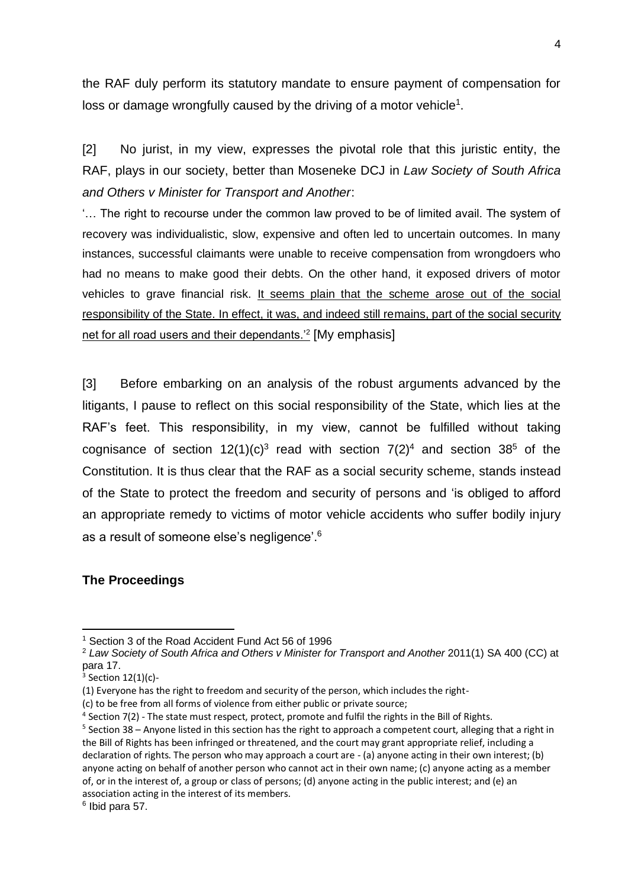the RAF duly perform its statutory mandate to ensure payment of compensation for loss or damage wrongfully caused by the driving of a motor vehicle<sup>1</sup>.

[2] No jurist, in my view, expresses the pivotal role that this juristic entity, the RAF, plays in our society, better than Moseneke DCJ in *Law Society of South Africa and Others v Minister for Transport and Another*:

'… The right to recourse under the common law proved to be of limited avail. The system of recovery was individualistic, slow, expensive and often led to uncertain outcomes. In many instances, successful claimants were unable to receive compensation from wrongdoers who had no means to make good their debts. On the other hand, it exposed drivers of motor vehicles to grave financial risk. It seems plain that the scheme arose out of the social responsibility of the State. In effect, it was, and indeed still remains, part of the social security net for all road users and their dependants.'<sup>2</sup> [My emphasis]

[3] Before embarking on an analysis of the robust arguments advanced by the litigants, I pause to reflect on this social responsibility of the State, which lies at the RAF's feet. This responsibility, in my view, cannot be fulfilled without taking cognisance of section  $12(1)(c)^3$  read with section  $7(2)^4$  and section 38<sup>5</sup> of the Constitution. It is thus clear that the RAF as a social security scheme, stands instead of the State to protect the freedom and security of persons and 'is obliged to afford an appropriate remedy to victims of motor vehicle accidents who suffer bodily injury as a result of someone else's negligence'. 6

#### **The Proceedings**

<sup>1</sup> Section 3 of the Road Accident Fund Act 56 of 1996

<sup>2</sup> *Law Society of South Africa and Others v Minister for Transport and Another* 2011(1) SA 400 (CC) at para 17.

 $3$  Section  $12(1)(c)$ -

<sup>(1)</sup> Everyone has the right to freedom and security of the person, which includes the right-

<sup>(</sup>c) to be free from all forms of violence from either public or private source;

<sup>&</sup>lt;sup>4</sup> Section 7(2) - The state must respect, protect, promote and fulfil the rights in the Bill of Rights.

<sup>&</sup>lt;sup>5</sup> Section 38 – Anyone listed in this section has the right to approach a competent court, alleging that a right in the Bill of Rights has been infringed or threatened, and the court may grant appropriate relief, including a declaration of rights. The person who may approach a court are - (a) anyone acting in their own interest; (b) anyone acting on behalf of another person who cannot act in their own name; (c) anyone acting as a member of, or in the interest of, a group or class of persons; (d) anyone acting in the public interest; and (e) an association acting in the interest of its members.

<sup>6</sup> Ibid para 57.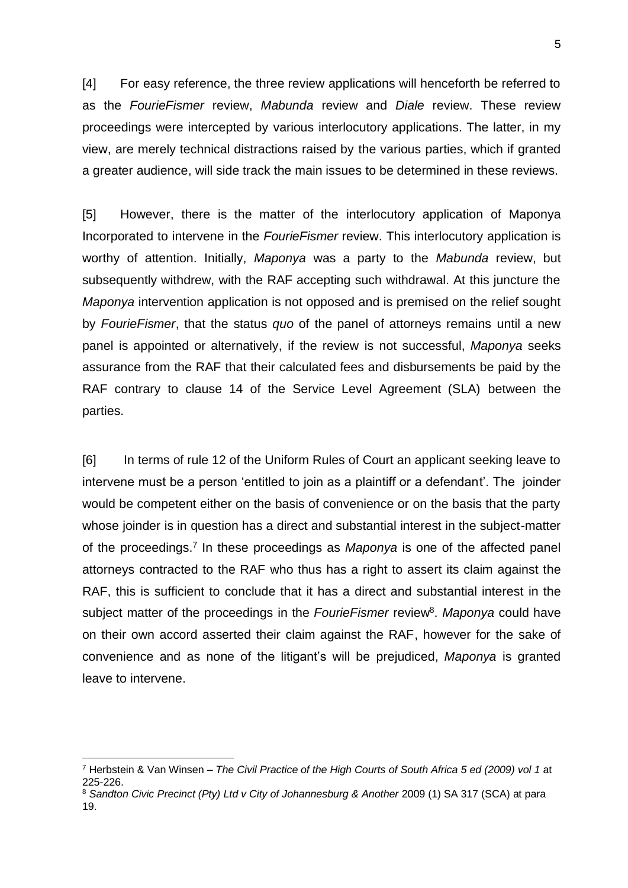[4] For easy reference, the three review applications will henceforth be referred to as the *FourieFismer* review, *Mabunda* review and *Diale* review. These review proceedings were intercepted by various interlocutory applications. The latter, in my view, are merely technical distractions raised by the various parties, which if granted a greater audience, will side track the main issues to be determined in these reviews.

[5] However, there is the matter of the interlocutory application of Maponya Incorporated to intervene in the *FourieFismer* review. This interlocutory application is worthy of attention. Initially, *Maponya* was a party to the *Mabunda* review, but subsequently withdrew, with the RAF accepting such withdrawal. At this juncture the *Maponya* intervention application is not opposed and is premised on the relief sought by *FourieFismer*, that the status *quo* of the panel of attorneys remains until a new panel is appointed or alternatively, if the review is not successful, *Maponya* seeks assurance from the RAF that their calculated fees and disbursements be paid by the RAF contrary to clause 14 of the Service Level Agreement (SLA) between the parties.

[6] In terms of rule 12 of the Uniform Rules of Court an applicant seeking leave to intervene must be a person 'entitled to join as a plaintiff or a defendant'. The joinder would be competent either on the basis of convenience or on the basis that the party whose joinder is in question has a direct and substantial interest in the subject-matter of the proceedings.<sup>7</sup> In these proceedings as *Maponya* is one of the affected panel attorneys contracted to the RAF who thus has a right to assert its claim against the RAF, this is sufficient to conclude that it has a direct and substantial interest in the subject matter of the proceedings in the FourieFismer review<sup>8</sup>. Maponya could have on their own accord asserted their claim against the RAF, however for the sake of convenience and as none of the litigant's will be prejudiced, *Maponya* is granted leave to intervene.

<sup>7</sup> Herbstein & Van Winsen – *The Civil Practice of the High Courts of South Africa 5 ed (2009) vol 1* at 225-226.

<sup>8</sup> *Sandton Civic Precinct (Pty) Ltd v City of Johannesburg & Another* 2009 (1) SA 317 (SCA) at para 19.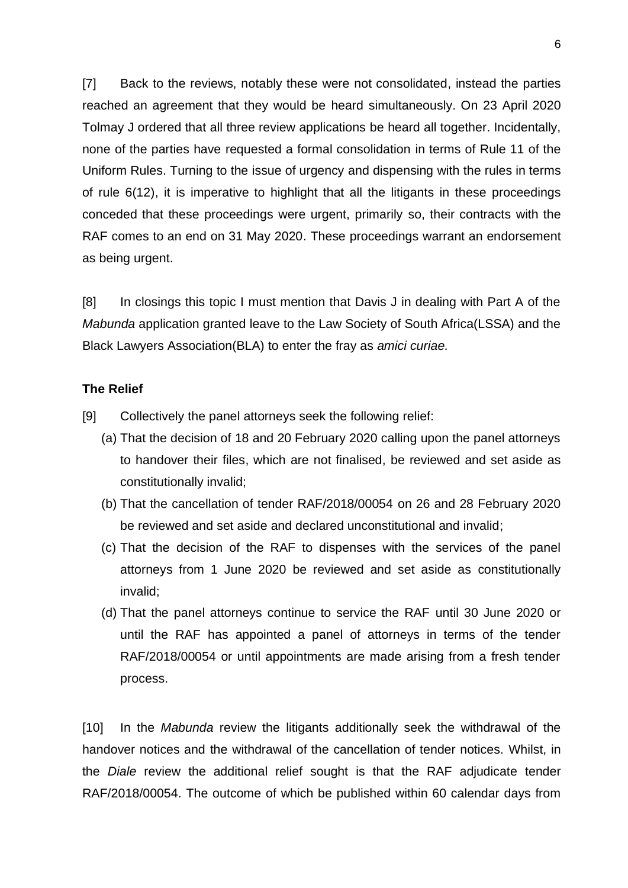[7] Back to the reviews, notably these were not consolidated, instead the parties reached an agreement that they would be heard simultaneously. On 23 April 2020 Tolmay J ordered that all three review applications be heard all together. Incidentally, none of the parties have requested a formal consolidation in terms of Rule 11 of the Uniform Rules. Turning to the issue of urgency and dispensing with the rules in terms of rule 6(12), it is imperative to highlight that all the litigants in these proceedings conceded that these proceedings were urgent, primarily so, their contracts with the RAF comes to an end on 31 May 2020. These proceedings warrant an endorsement as being urgent.

[8] In closings this topic I must mention that Davis J in dealing with Part A of the *Mabunda* application granted leave to the Law Society of South Africa(LSSA) and the Black Lawyers Association(BLA) to enter the fray as *amici curiae.*

#### **The Relief**

- [9] Collectively the panel attorneys seek the following relief:
	- (a) That the decision of 18 and 20 February 2020 calling upon the panel attorneys to handover their files, which are not finalised, be reviewed and set aside as constitutionally invalid;
	- (b) That the cancellation of tender RAF/2018/00054 on 26 and 28 February 2020 be reviewed and set aside and declared unconstitutional and invalid;
	- (c) That the decision of the RAF to dispenses with the services of the panel attorneys from 1 June 2020 be reviewed and set aside as constitutionally invalid;
	- (d) That the panel attorneys continue to service the RAF until 30 June 2020 or until the RAF has appointed a panel of attorneys in terms of the tender RAF/2018/00054 or until appointments are made arising from a fresh tender process.

[10] In the *Mabunda* review the litigants additionally seek the withdrawal of the handover notices and the withdrawal of the cancellation of tender notices. Whilst, in the *Diale* review the additional relief sought is that the RAF adjudicate tender RAF/2018/00054. The outcome of which be published within 60 calendar days from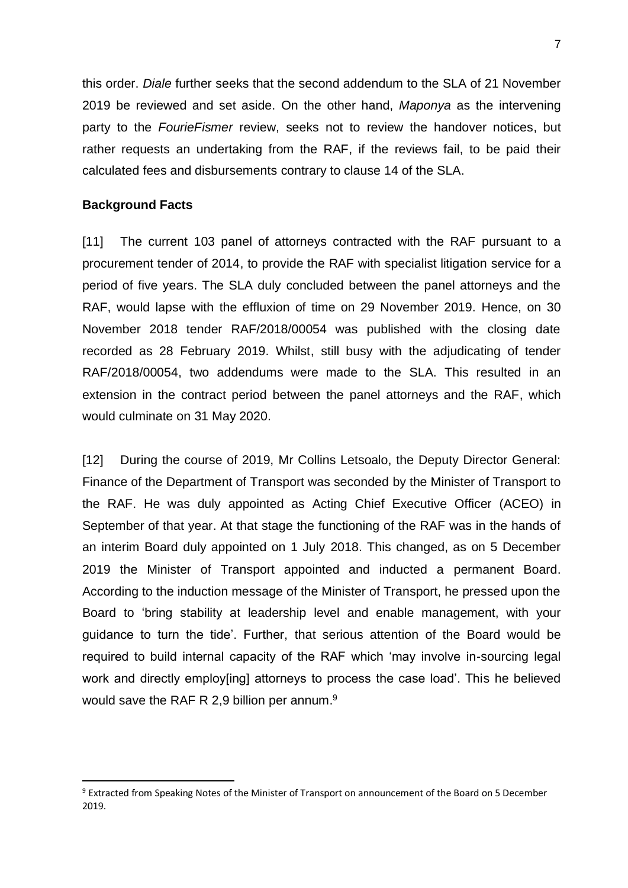this order. *Diale* further seeks that the second addendum to the SLA of 21 November 2019 be reviewed and set aside. On the other hand, *Maponya* as the intervening party to the *FourieFismer* review, seeks not to review the handover notices, but rather requests an undertaking from the RAF, if the reviews fail, to be paid their calculated fees and disbursements contrary to clause 14 of the SLA.

#### **Background Facts**

[11] The current 103 panel of attorneys contracted with the RAF pursuant to a procurement tender of 2014, to provide the RAF with specialist litigation service for a period of five years. The SLA duly concluded between the panel attorneys and the RAF, would lapse with the effluxion of time on 29 November 2019. Hence, on 30 November 2018 tender RAF/2018/00054 was published with the closing date recorded as 28 February 2019. Whilst, still busy with the adjudicating of tender RAF/2018/00054, two addendums were made to the SLA. This resulted in an extension in the contract period between the panel attorneys and the RAF, which would culminate on 31 May 2020.

[12] During the course of 2019, Mr Collins Letsoalo, the Deputy Director General: Finance of the Department of Transport was seconded by the Minister of Transport to the RAF. He was duly appointed as Acting Chief Executive Officer (ACEO) in September of that year. At that stage the functioning of the RAF was in the hands of an interim Board duly appointed on 1 July 2018. This changed, as on 5 December 2019 the Minister of Transport appointed and inducted a permanent Board. According to the induction message of the Minister of Transport, he pressed upon the Board to 'bring stability at leadership level and enable management, with your guidance to turn the tide'. Further, that serious attention of the Board would be required to build internal capacity of the RAF which 'may involve in-sourcing legal work and directly employ[ing] attorneys to process the case load'. This he believed would save the RAF R 2,9 billion per annum.<sup>9</sup>

<sup>9</sup> Extracted from Speaking Notes of the Minister of Transport on announcement of the Board on 5 December 2019.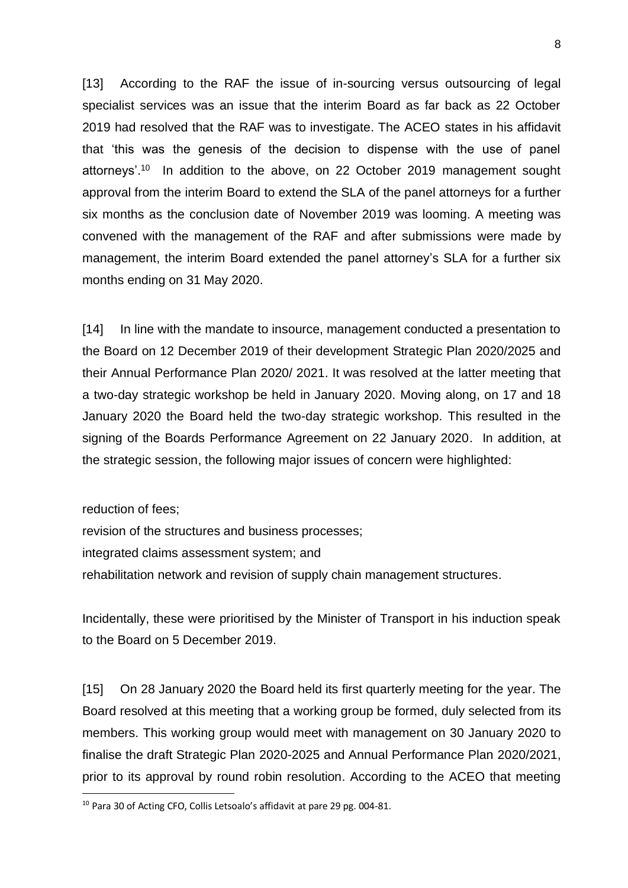[13] According to the RAF the issue of in-sourcing versus outsourcing of legal specialist services was an issue that the interim Board as far back as 22 October 2019 had resolved that the RAF was to investigate. The ACEO states in his affidavit that 'this was the genesis of the decision to dispense with the use of panel attorneys'.<sup>10</sup> In addition to the above, on 22 October 2019 management sought approval from the interim Board to extend the SLA of the panel attorneys for a further six months as the conclusion date of November 2019 was looming. A meeting was convened with the management of the RAF and after submissions were made by management, the interim Board extended the panel attorney's SLA for a further six months ending on 31 May 2020.

[14] In line with the mandate to insource, management conducted a presentation to the Board on 12 December 2019 of their development Strategic Plan 2020/2025 and their Annual Performance Plan 2020/ 2021. It was resolved at the latter meeting that a two-day strategic workshop be held in January 2020. Moving along, on 17 and 18 January 2020 the Board held the two-day strategic workshop. This resulted in the signing of the Boards Performance Agreement on 22 January 2020. In addition, at the strategic session, the following major issues of concern were highlighted:

reduction of fees;

revision of the structures and business processes; integrated claims assessment system; and rehabilitation network and revision of supply chain management structures.

Incidentally, these were prioritised by the Minister of Transport in his induction speak to the Board on 5 December 2019.

[15] On 28 January 2020 the Board held its first quarterly meeting for the year. The Board resolved at this meeting that a working group be formed, duly selected from its members. This working group would meet with management on 30 January 2020 to finalise the draft Strategic Plan 2020-2025 and Annual Performance Plan 2020/2021, prior to its approval by round robin resolution. According to the ACEO that meeting

<sup>&</sup>lt;sup>10</sup> Para 30 of Acting CFO, Collis Letsoalo's affidavit at pare 29 pg. 004-81.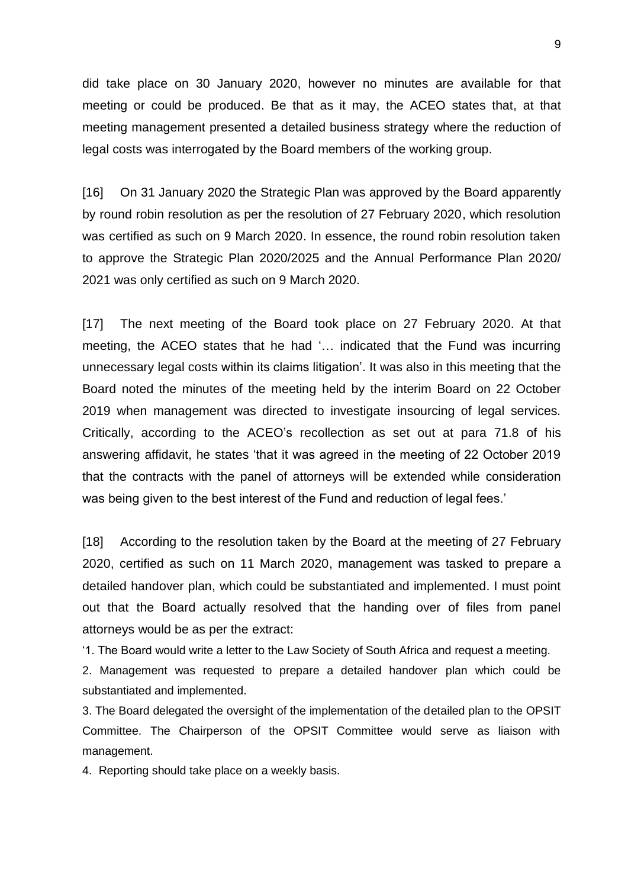did take place on 30 January 2020, however no minutes are available for that meeting or could be produced. Be that as it may, the ACEO states that, at that meeting management presented a detailed business strategy where the reduction of legal costs was interrogated by the Board members of the working group.

[16] On 31 January 2020 the Strategic Plan was approved by the Board apparently by round robin resolution as per the resolution of 27 February 2020, which resolution was certified as such on 9 March 2020. In essence, the round robin resolution taken to approve the Strategic Plan 2020/2025 and the Annual Performance Plan 2020/ 2021 was only certified as such on 9 March 2020.

[17] The next meeting of the Board took place on 27 February 2020. At that meeting, the ACEO states that he had '… indicated that the Fund was incurring unnecessary legal costs within its claims litigation'. It was also in this meeting that the Board noted the minutes of the meeting held by the interim Board on 22 October 2019 when management was directed to investigate insourcing of legal services. Critically, according to the ACEO's recollection as set out at para 71.8 of his answering affidavit, he states 'that it was agreed in the meeting of 22 October 2019 that the contracts with the panel of attorneys will be extended while consideration was being given to the best interest of the Fund and reduction of legal fees.'

[18] According to the resolution taken by the Board at the meeting of 27 February 2020, certified as such on 11 March 2020, management was tasked to prepare a detailed handover plan, which could be substantiated and implemented. I must point out that the Board actually resolved that the handing over of files from panel attorneys would be as per the extract:

'1. The Board would write a letter to the Law Society of South Africa and request a meeting.

2. Management was requested to prepare a detailed handover plan which could be substantiated and implemented.

3. The Board delegated the oversight of the implementation of the detailed plan to the OPSIT Committee. The Chairperson of the OPSIT Committee would serve as liaison with management.

4. Reporting should take place on a weekly basis.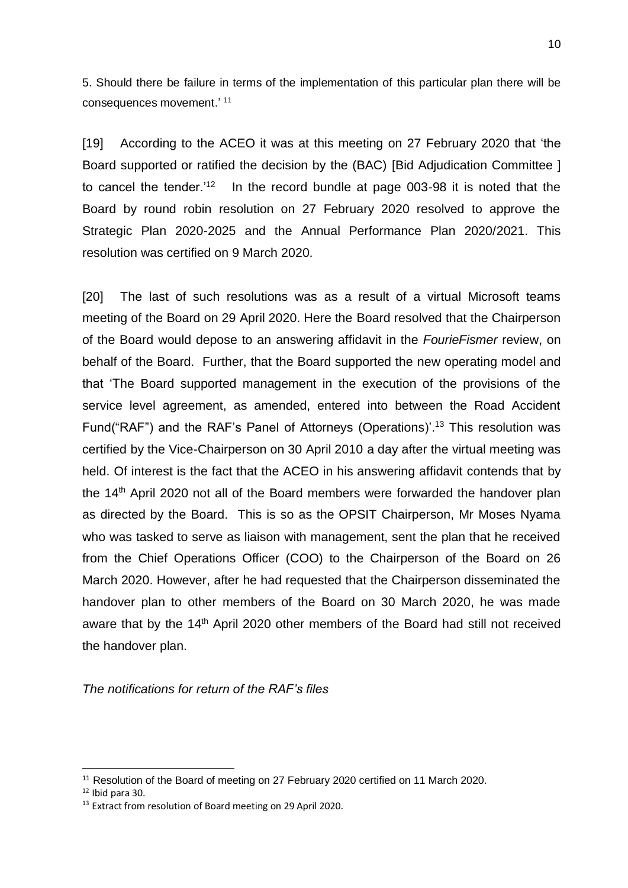5. Should there be failure in terms of the implementation of this particular plan there will be consequences movement.' <sup>11</sup>

[19] According to the ACEO it was at this meeting on 27 February 2020 that 'the Board supported or ratified the decision by the (BAC) [Bid Adjudication Committee ] to cancel the tender.<sup>'12</sup> In the record bundle at page 003-98 it is noted that the Board by round robin resolution on 27 February 2020 resolved to approve the Strategic Plan 2020-2025 and the Annual Performance Plan 2020/2021. This resolution was certified on 9 March 2020.

[20] The last of such resolutions was as a result of a virtual Microsoft teams meeting of the Board on 29 April 2020. Here the Board resolved that the Chairperson of the Board would depose to an answering affidavit in the *FourieFismer* review, on behalf of the Board. Further, that the Board supported the new operating model and that 'The Board supported management in the execution of the provisions of the service level agreement, as amended, entered into between the Road Accident Fund("RAF") and the RAF's Panel of Attorneys (Operations)<sup>' 13</sup> This resolution was certified by the Vice-Chairperson on 30 April 2010 a day after the virtual meeting was held. Of interest is the fact that the ACEO in his answering affidavit contends that by the 14<sup>th</sup> April 2020 not all of the Board members were forwarded the handover plan as directed by the Board. This is so as the OPSIT Chairperson, Mr Moses Nyama who was tasked to serve as liaison with management, sent the plan that he received from the Chief Operations Officer (COO) to the Chairperson of the Board on 26 March 2020. However, after he had requested that the Chairperson disseminated the handover plan to other members of the Board on 30 March 2020, he was made aware that by the 14<sup>th</sup> April 2020 other members of the Board had still not received the handover plan.

*The notifications for return of the RAF's files*

<sup>11</sup> Resolution of the Board of meeting on 27 February 2020 certified on 11 March 2020.

 $12$  Ibid para 30.

<sup>&</sup>lt;sup>13</sup> Extract from resolution of Board meeting on 29 April 2020.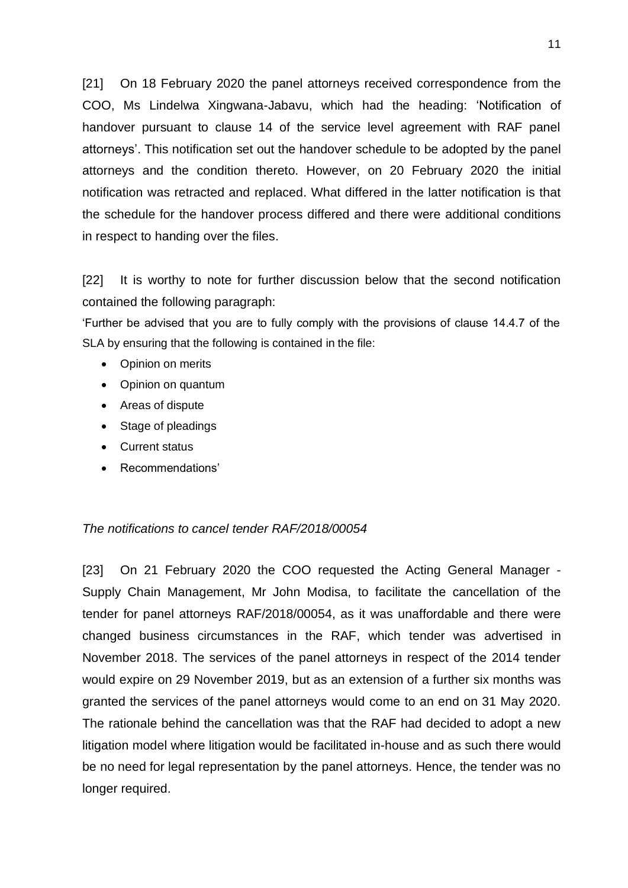[21] On 18 February 2020 the panel attorneys received correspondence from the COO, Ms Lindelwa Xingwana-Jabavu, which had the heading: 'Notification of handover pursuant to clause 14 of the service level agreement with RAF panel attorneys'. This notification set out the handover schedule to be adopted by the panel attorneys and the condition thereto. However, on 20 February 2020 the initial notification was retracted and replaced. What differed in the latter notification is that the schedule for the handover process differed and there were additional conditions in respect to handing over the files.

[22] It is worthy to note for further discussion below that the second notification contained the following paragraph:

'Further be advised that you are to fully comply with the provisions of clause 14.4.7 of the SLA by ensuring that the following is contained in the file:

- Opinion on merits
- Opinion on quantum
- Areas of dispute
- Stage of pleadings
- Current status
- Recommendations'

#### *The notifications to cancel tender RAF/2018/00054*

[23] On 21 February 2020 the COO requested the Acting General Manager -Supply Chain Management, Mr John Modisa, to facilitate the cancellation of the tender for panel attorneys RAF/2018/00054, as it was unaffordable and there were changed business circumstances in the RAF, which tender was advertised in November 2018. The services of the panel attorneys in respect of the 2014 tender would expire on 29 November 2019, but as an extension of a further six months was granted the services of the panel attorneys would come to an end on 31 May 2020. The rationale behind the cancellation was that the RAF had decided to adopt a new litigation model where litigation would be facilitated in-house and as such there would be no need for legal representation by the panel attorneys. Hence, the tender was no longer required.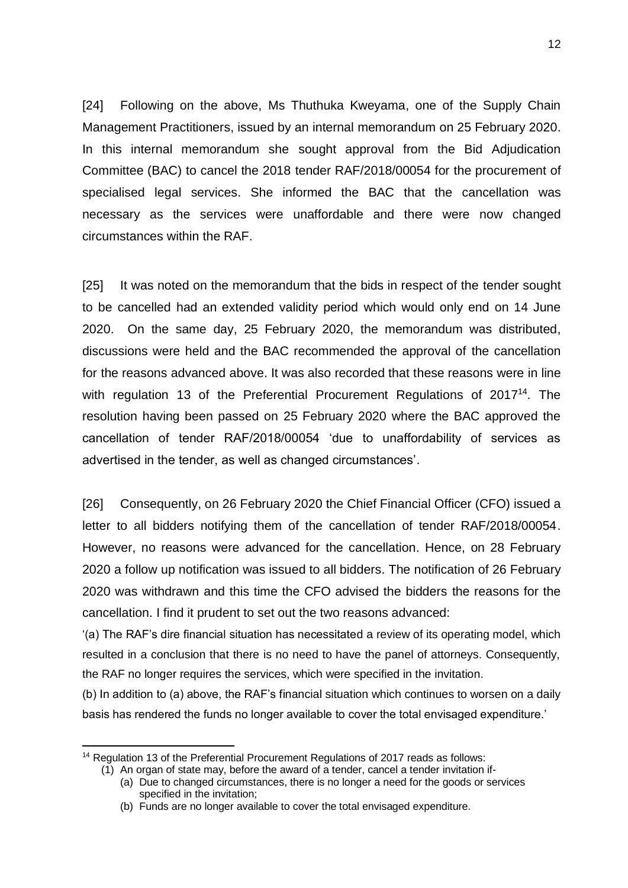[24] Following on the above, Ms Thuthuka Kweyama, one of the Supply Chain Management Practitioners, issued by an internal memorandum on 25 February 2020. In this internal memorandum she sought approval from the Bid Adjudication Committee (BAC) to cancel the 2018 tender RAF/2018/00054 for the procurement of specialised legal services. She informed the BAC that the cancellation was necessary as the services were unaffordable and there were now changed circumstances within the RAF.

[25] It was noted on the memorandum that the bids in respect of the tender sought to be cancelled had an extended validity period which would only end on 14 June 2020. On the same day, 25 February 2020, the memorandum was distributed, discussions were held and the BAC recommended the approval of the cancellation for the reasons advanced above. It was also recorded that these reasons were in line with regulation 13 of the Preferential Procurement Regulations of 2017<sup>14</sup>. The resolution having been passed on 25 February 2020 where the BAC approved the cancellation of tender RAF/2018/00054 'due to unaffordability of services as advertised in the tender, as well as changed circumstances'.

[26] Consequently, on 26 February 2020 the Chief Financial Officer (CFO) issued a letter to all bidders notifying them of the cancellation of tender RAF/2018/00054. However, no reasons were advanced for the cancellation. Hence, on 28 February 2020 a follow up notification was issued to all bidders. The notification of 26 February 2020 was withdrawn and this time the CFO advised the bidders the reasons for the cancellation. I find it prudent to set out the two reasons advanced:

'(a) The RAF's dire financial situation has necessitated a review of its operating model, which resulted in a conclusion that there is no need to have the panel of attorneys. Consequently, the RAF no longer requires the services, which were specified in the invitation.

(b) In addition to (a) above, the RAF's financial situation which continues to worsen on a daily basis has rendered the funds no longer available to cover the total envisaged expenditure.'

<sup>&</sup>lt;sup>14</sup> Regulation 13 of the Preferential Procurement Regulations of 2017 reads as follows:

<sup>(1)</sup> An organ of state may, before the award of a tender, cancel a tender invitation if-

<sup>(</sup>a) Due to changed circumstances, there is no longer a need for the goods or services specified in the invitation;

<sup>(</sup>b) Funds are no longer available to cover the total envisaged expenditure.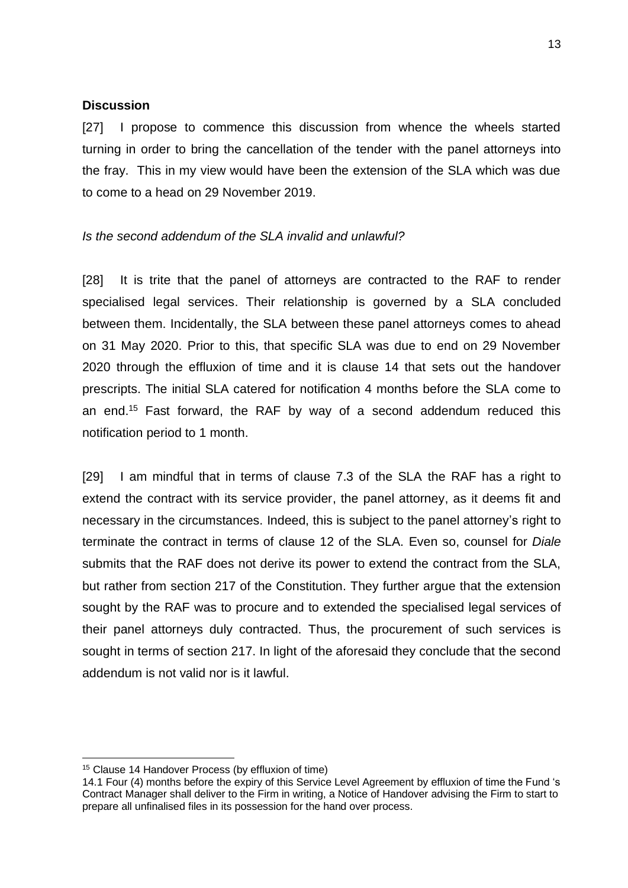#### **Discussion**

[27] I propose to commence this discussion from whence the wheels started turning in order to bring the cancellation of the tender with the panel attorneys into the fray. This in my view would have been the extension of the SLA which was due to come to a head on 29 November 2019.

# *Is the second addendum of the SLA invalid and unlawful?*

[28] It is trite that the panel of attorneys are contracted to the RAF to render specialised legal services. Their relationship is governed by a SLA concluded between them. Incidentally, the SLA between these panel attorneys comes to ahead on 31 May 2020. Prior to this, that specific SLA was due to end on 29 November 2020 through the effluxion of time and it is clause 14 that sets out the handover prescripts. The initial SLA catered for notification 4 months before the SLA come to an end. <sup>15</sup> Fast forward, the RAF by way of a second addendum reduced this notification period to 1 month.

[29] I am mindful that in terms of clause 7.3 of the SLA the RAF has a right to extend the contract with its service provider, the panel attorney, as it deems fit and necessary in the circumstances. Indeed, this is subject to the panel attorney's right to terminate the contract in terms of clause 12 of the SLA. Even so, counsel for *Diale* submits that the RAF does not derive its power to extend the contract from the SLA, but rather from section 217 of the Constitution. They further argue that the extension sought by the RAF was to procure and to extended the specialised legal services of their panel attorneys duly contracted. Thus, the procurement of such services is sought in terms of section 217. In light of the aforesaid they conclude that the second addendum is not valid nor is it lawful.

<sup>15</sup> Clause 14 Handover Process (by effluxion of time)

<sup>14.1</sup> Four (4) months before the expiry of this Service Level Agreement by effluxion of time the Fund 's Contract Manager shall deliver to the Firm in writing, a Notice of Handover advising the Firm to start to prepare all unfinalised files in its possession for the hand over process.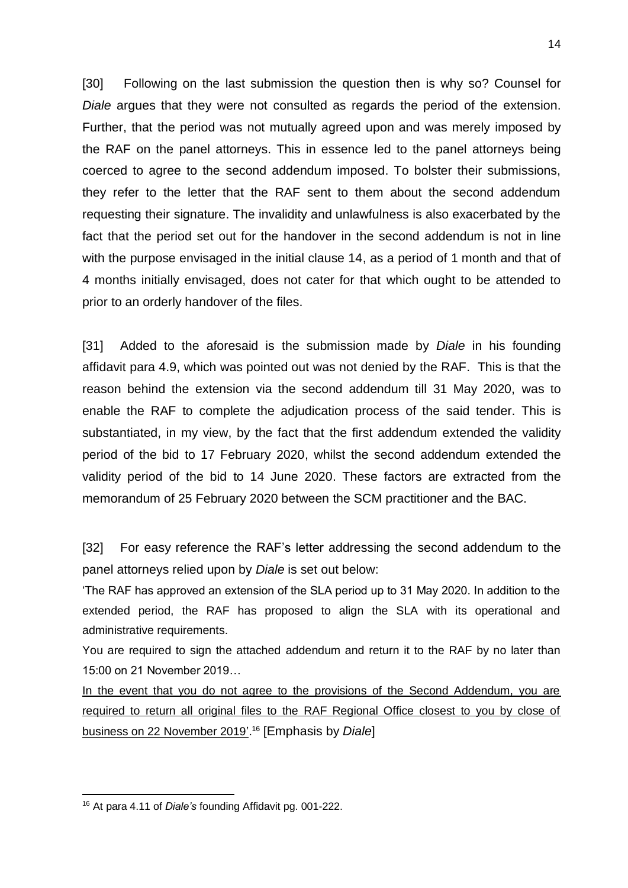[30] Following on the last submission the question then is why so? Counsel for *Diale* argues that they were not consulted as regards the period of the extension. Further, that the period was not mutually agreed upon and was merely imposed by the RAF on the panel attorneys. This in essence led to the panel attorneys being coerced to agree to the second addendum imposed. To bolster their submissions, they refer to the letter that the RAF sent to them about the second addendum requesting their signature. The invalidity and unlawfulness is also exacerbated by the fact that the period set out for the handover in the second addendum is not in line with the purpose envisaged in the initial clause 14, as a period of 1 month and that of 4 months initially envisaged, does not cater for that which ought to be attended to prior to an orderly handover of the files.

[31] Added to the aforesaid is the submission made by *Diale* in his founding affidavit para 4.9, which was pointed out was not denied by the RAF. This is that the reason behind the extension via the second addendum till 31 May 2020, was to enable the RAF to complete the adjudication process of the said tender. This is substantiated, in my view, by the fact that the first addendum extended the validity period of the bid to 17 February 2020, whilst the second addendum extended the validity period of the bid to 14 June 2020. These factors are extracted from the memorandum of 25 February 2020 between the SCM practitioner and the BAC.

[32] For easy reference the RAF's letter addressing the second addendum to the panel attorneys relied upon by *Diale* is set out below:

'The RAF has approved an extension of the SLA period up to 31 May 2020. In addition to the extended period, the RAF has proposed to align the SLA with its operational and administrative requirements.

You are required to sign the attached addendum and return it to the RAF by no later than 15:00 on 21 November 2019…

In the event that you do not agree to the provisions of the Second Addendum, you are required to return all original files to the RAF Regional Office closest to you by close of business on 22 November 2019'. <sup>16</sup> [Emphasis by *Diale*]

<sup>16</sup> At para 4.11 of *Diale's* founding Affidavit pg. 001-222.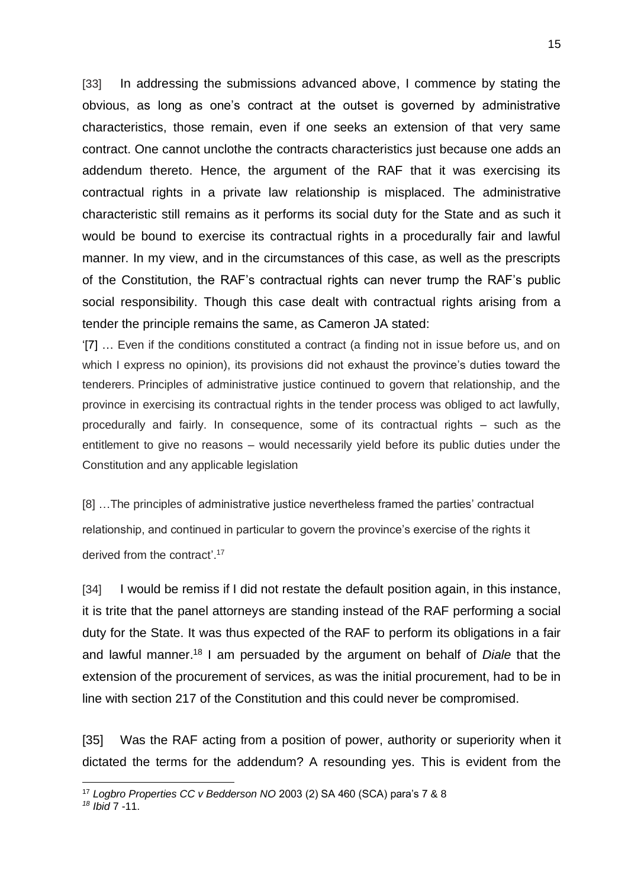[33] In addressing the submissions advanced above, I commence by stating the obvious, as long as one's contract at the outset is governed by administrative characteristics, those remain, even if one seeks an extension of that very same contract. One cannot unclothe the contracts characteristics just because one adds an addendum thereto. Hence, the argument of the RAF that it was exercising its contractual rights in a private law relationship is misplaced. The administrative characteristic still remains as it performs its social duty for the State and as such it would be bound to exercise its contractual rights in a procedurally fair and lawful manner. In my view, and in the circumstances of this case, as well as the prescripts of the Constitution, the RAF's contractual rights can never trump the RAF's public social responsibility. Though this case dealt with contractual rights arising from a tender the principle remains the same, as Cameron JA stated:

'[7] … Even if the conditions constituted a contract (a finding not in issue before us, and on which I express no opinion), its provisions did not exhaust the province's duties toward the tenderers. Principles of administrative justice continued to govern that relationship, and the province in exercising its contractual rights in the tender process was obliged to act lawfully, procedurally and fairly. In consequence, some of its contractual rights – such as the entitlement to give no reasons – would necessarily yield before its public duties under the Constitution and any applicable legislation

[8] …The principles of administrative justice nevertheless framed the parties' contractual relationship, and continued in particular to govern the province's exercise of the rights it derived from the contract'.<sup>17</sup>

[34] I would be remiss if I did not restate the default position again, in this instance, it is trite that the panel attorneys are standing instead of the RAF performing a social duty for the State. It was thus expected of the RAF to perform its obligations in a fair and lawful manner. <sup>18</sup> I am persuaded by the argument on behalf of *Diale* that the extension of the procurement of services, as was the initial procurement, had to be in line with section 217 of the Constitution and this could never be compromised.

[35] Was the RAF acting from a position of power, authority or superiority when it dictated the terms for the addendum? A resounding yes. This is evident from the

<sup>17</sup> *Logbro Properties CC v Bedderson NO* 2003 (2) SA 460 (SCA) para's 7 & 8

*<sup>18</sup> Ibid* 7 -11.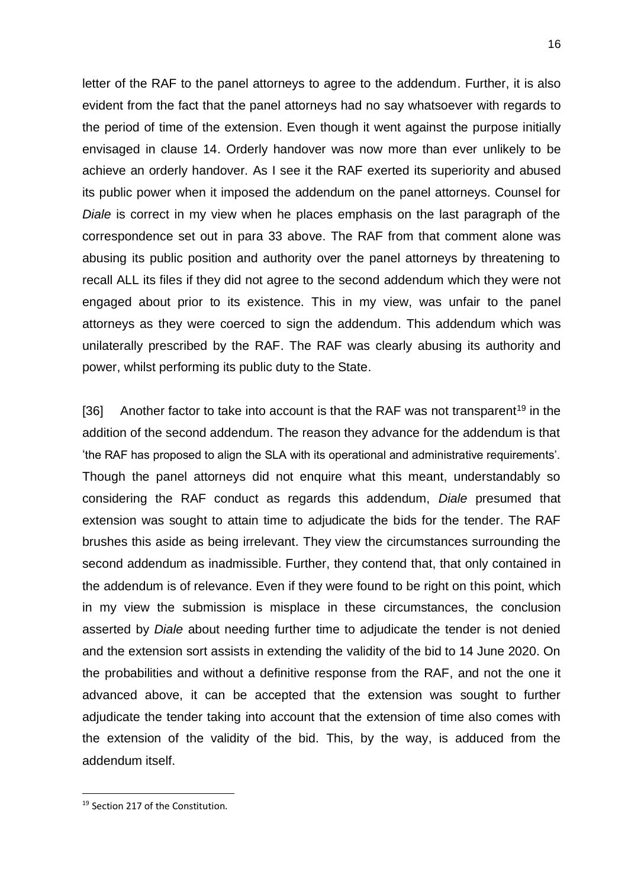letter of the RAF to the panel attorneys to agree to the addendum. Further, it is also evident from the fact that the panel attorneys had no say whatsoever with regards to the period of time of the extension. Even though it went against the purpose initially envisaged in clause 14. Orderly handover was now more than ever unlikely to be achieve an orderly handover. As I see it the RAF exerted its superiority and abused its public power when it imposed the addendum on the panel attorneys. Counsel for *Diale* is correct in my view when he places emphasis on the last paragraph of the correspondence set out in para 33 above. The RAF from that comment alone was abusing its public position and authority over the panel attorneys by threatening to recall ALL its files if they did not agree to the second addendum which they were not engaged about prior to its existence. This in my view, was unfair to the panel attorneys as they were coerced to sign the addendum. This addendum which was unilaterally prescribed by the RAF. The RAF was clearly abusing its authority and power, whilst performing its public duty to the State.

[36] Another factor to take into account is that the RAF was not transparent<sup>19</sup> in the addition of the second addendum. The reason they advance for the addendum is that 'the RAF has proposed to align the SLA with its operational and administrative requirements'. Though the panel attorneys did not enquire what this meant, understandably so considering the RAF conduct as regards this addendum, *Diale* presumed that extension was sought to attain time to adjudicate the bids for the tender. The RAF brushes this aside as being irrelevant. They view the circumstances surrounding the second addendum as inadmissible. Further, they contend that, that only contained in the addendum is of relevance. Even if they were found to be right on this point, which in my view the submission is misplace in these circumstances, the conclusion asserted by *Diale* about needing further time to adjudicate the tender is not denied and the extension sort assists in extending the validity of the bid to 14 June 2020. On the probabilities and without a definitive response from the RAF, and not the one it advanced above, it can be accepted that the extension was sought to further adjudicate the tender taking into account that the extension of time also comes with the extension of the validity of the bid. This, by the way, is adduced from the addendum itself.

<sup>&</sup>lt;sup>19</sup> Section 217 of the Constitution.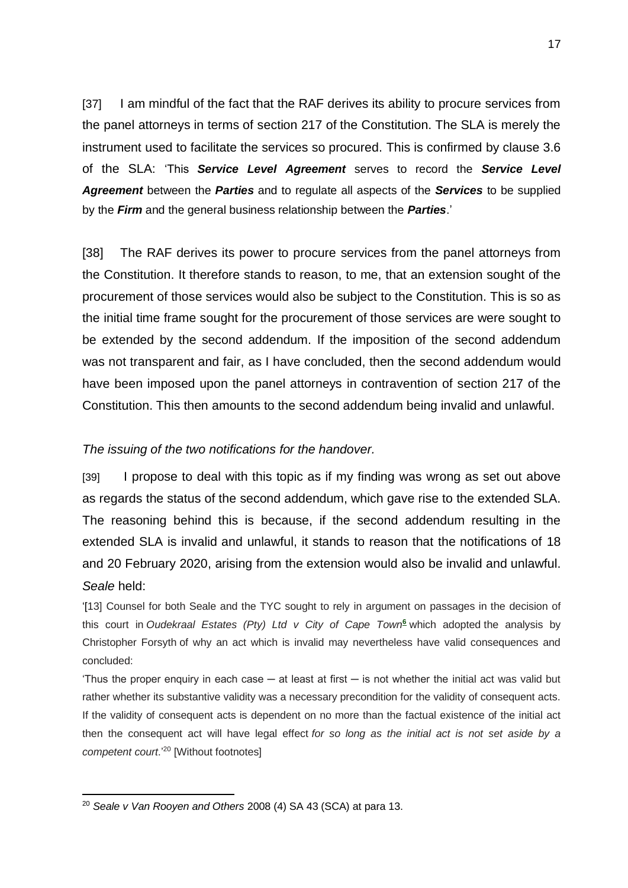[37] I am mindful of the fact that the RAF derives its ability to procure services from the panel attorneys in terms of section 217 of the Constitution. The SLA is merely the instrument used to facilitate the services so procured. This is confirmed by clause 3.6 of the SLA: 'This *Service Level Agreement* serves to record the *Service Level Agreement* between the *Parties* and to regulate all aspects of the *Services* to be supplied by the *Firm* and the general business relationship between the *Parties*.'

[38] The RAF derives its power to procure services from the panel attorneys from the Constitution. It therefore stands to reason, to me, that an extension sought of the procurement of those services would also be subject to the Constitution. This is so as the initial time frame sought for the procurement of those services are were sought to be extended by the second addendum. If the imposition of the second addendum was not transparent and fair, as I have concluded, then the second addendum would have been imposed upon the panel attorneys in contravention of section 217 of the Constitution. This then amounts to the second addendum being invalid and unlawful.

#### *The issuing of the two notifications for the handover.*

[39] I propose to deal with this topic as if my finding was wrong as set out above as regards the status of the second addendum, which gave rise to the extended SLA. The reasoning behind this is because, if the second addendum resulting in the extended SLA is invalid and unlawful, it stands to reason that the notifications of 18 and 20 February 2020, arising from the extension would also be invalid and unlawful. *Seale* held:

'[13] Counsel for both Seale and the TYC sought to rely in argument on passages in the decision of this court in *Oudekraal Estates (Pty) Ltd v City of Cape Tow[n](http://www.saflii.org/za/cases/ZASCA/2008/28.html#sdfootnote6sym)***<sup>6</sup>** which adopted the analysis by Christopher Forsyth of why an act which is invalid may nevertheless have valid consequences and concluded:

'Thus the proper enquiry in each case  $-$  at least at first  $-$  is not whether the initial act was valid but rather whether its substantive validity was a necessary precondition for the validity of consequent acts. If the validity of consequent acts is dependent on no more than the factual existence of the initial act then the consequent act will have legal effect *for so long as the initial act is not set aside by a competent court*.'<sup>20</sup> [Without footnotes]

<sup>20</sup> *Seale v Van Rooyen and Others* 2008 (4) SA 43 (SCA) at para 13.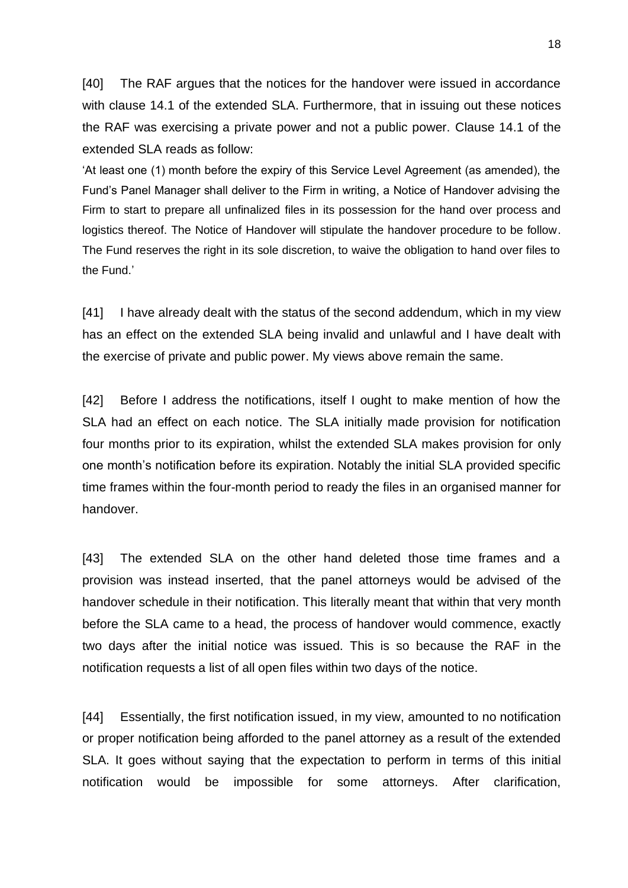[40] The RAF argues that the notices for the handover were issued in accordance with clause 14.1 of the extended SLA. Furthermore, that in issuing out these notices the RAF was exercising a private power and not a public power. Clause 14.1 of the extended SLA reads as follow:

'At least one (1) month before the expiry of this Service Level Agreement (as amended), the Fund's Panel Manager shall deliver to the Firm in writing, a Notice of Handover advising the Firm to start to prepare all unfinalized files in its possession for the hand over process and logistics thereof. The Notice of Handover will stipulate the handover procedure to be follow. The Fund reserves the right in its sole discretion, to waive the obligation to hand over files to the Fund.'

[41] I have already dealt with the status of the second addendum, which in my view has an effect on the extended SLA being invalid and unlawful and I have dealt with the exercise of private and public power. My views above remain the same.

[42] Before I address the notifications, itself I ought to make mention of how the SLA had an effect on each notice. The SLA initially made provision for notification four months prior to its expiration, whilst the extended SLA makes provision for only one month's notification before its expiration. Notably the initial SLA provided specific time frames within the four-month period to ready the files in an organised manner for handover.

[43] The extended SLA on the other hand deleted those time frames and a provision was instead inserted, that the panel attorneys would be advised of the handover schedule in their notification. This literally meant that within that very month before the SLA came to a head, the process of handover would commence, exactly two days after the initial notice was issued. This is so because the RAF in the notification requests a list of all open files within two days of the notice.

[44] Essentially, the first notification issued, in my view, amounted to no notification or proper notification being afforded to the panel attorney as a result of the extended SLA. It goes without saying that the expectation to perform in terms of this initial notification would be impossible for some attorneys. After clarification,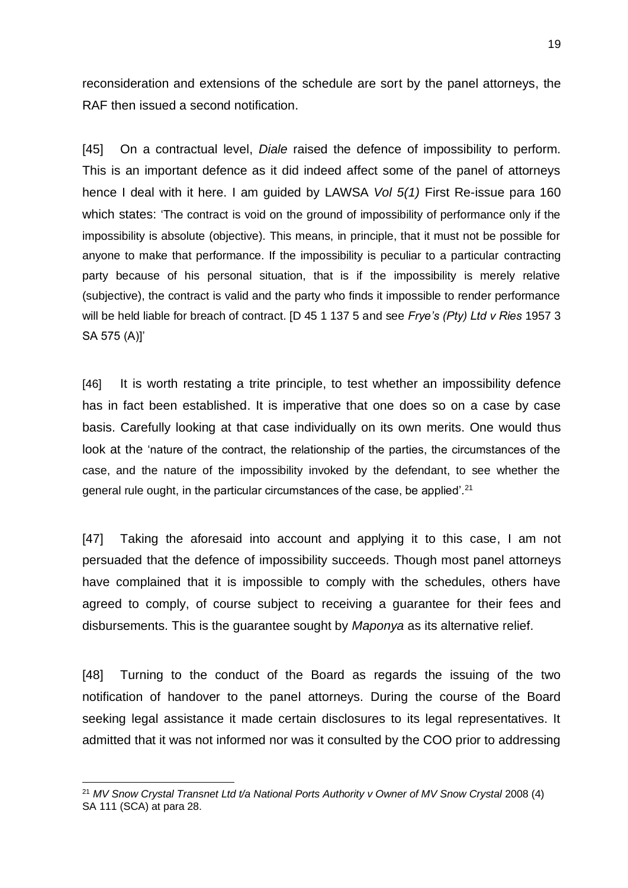reconsideration and extensions of the schedule are sort by the panel attorneys, the RAF then issued a second notification.

[45] On a contractual level, *Diale* raised the defence of impossibility to perform. This is an important defence as it did indeed affect some of the panel of attorneys hence I deal with it here. I am guided by LAWSA *Vol 5(1)* First Re-issue para 160 which states: 'The contract is void on the ground of impossibility of performance only if the impossibility is absolute (objective). This means, in principle, that it must not be possible for anyone to make that performance. If the impossibility is peculiar to a particular contracting party because of his personal situation, that is if the impossibility is merely relative (subjective), the contract is valid and the party who finds it impossible to render performance will be held liable for breach of contract. [D 45 1 137 5 and see *Frye's (Pty) Ltd v Ries* 1957 3 SA 575 (A)]'

[46] It is worth restating a trite principle, to test whether an impossibility defence has in fact been established. It is imperative that one does so on a case by case basis. Carefully looking at that case individually on its own merits. One would thus look at the 'nature of the contract, the relationship of the parties, the circumstances of the case, and the nature of the impossibility invoked by the defendant, to see whether the general rule ought, in the particular circumstances of the case, be applied'.<sup>21</sup>

[47] Taking the aforesaid into account and applying it to this case, I am not persuaded that the defence of impossibility succeeds. Though most panel attorneys have complained that it is impossible to comply with the schedules, others have agreed to comply, of course subject to receiving a guarantee for their fees and disbursements. This is the guarantee sought by *Maponya* as its alternative relief.

[48] Turning to the conduct of the Board as regards the issuing of the two notification of handover to the panel attorneys. During the course of the Board seeking legal assistance it made certain disclosures to its legal representatives. It admitted that it was not informed nor was it consulted by the COO prior to addressing

<sup>&</sup>lt;sup>21</sup> MV Snow Crystal Transnet Ltd t/a National Ports Authority v Owner of MV Snow Crystal 2008 (4) SA 111 (SCA) at para 28.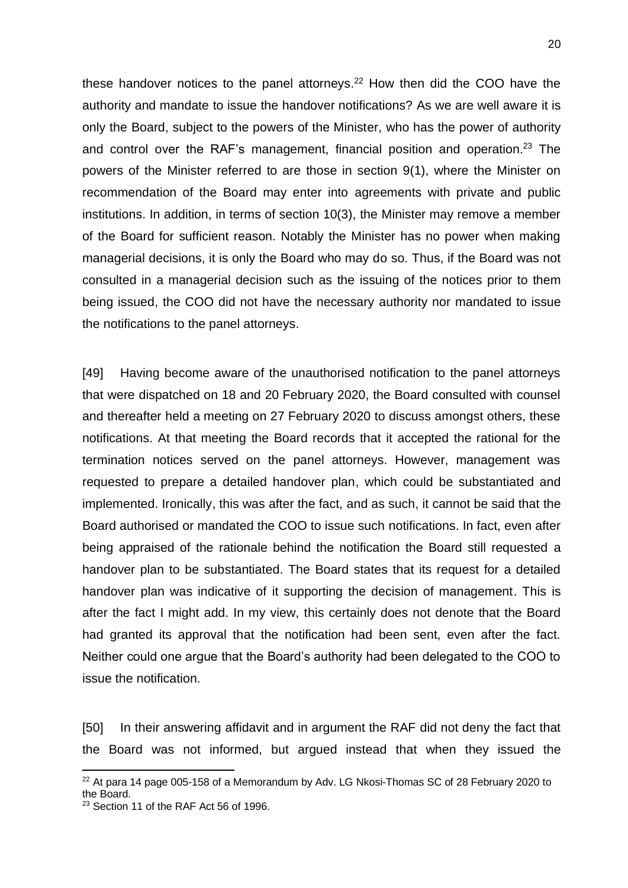these handover notices to the panel attorneys.<sup>22</sup> How then did the COO have the authority and mandate to issue the handover notifications? As we are well aware it is only the Board, subject to the powers of the Minister, who has the power of authority and control over the RAF's management, financial position and operation. <sup>23</sup> The powers of the Minister referred to are those in section 9(1), where the Minister on recommendation of the Board may enter into agreements with private and public institutions. In addition, in terms of section 10(3), the Minister may remove a member of the Board for sufficient reason. Notably the Minister has no power when making managerial decisions, it is only the Board who may do so. Thus, if the Board was not consulted in a managerial decision such as the issuing of the notices prior to them being issued, the COO did not have the necessary authority nor mandated to issue the notifications to the panel attorneys.

[49] Having become aware of the unauthorised notification to the panel attorneys that were dispatched on 18 and 20 February 2020, the Board consulted with counsel and thereafter held a meeting on 27 February 2020 to discuss amongst others, these notifications. At that meeting the Board records that it accepted the rational for the termination notices served on the panel attorneys. However, management was requested to prepare a detailed handover plan, which could be substantiated and implemented. Ironically, this was after the fact, and as such, it cannot be said that the Board authorised or mandated the COO to issue such notifications. In fact, even after being appraised of the rationale behind the notification the Board still requested a handover plan to be substantiated. The Board states that its request for a detailed handover plan was indicative of it supporting the decision of management. This is after the fact I might add. In my view, this certainly does not denote that the Board had granted its approval that the notification had been sent, even after the fact. Neither could one argue that the Board's authority had been delegated to the COO to issue the notification.

[50] In their answering affidavit and in argument the RAF did not deny the fact that the Board was not informed, but argued instead that when they issued the

 $22$  At para 14 page 005-158 of a Memorandum by Adv. LG Nkosi-Thomas SC of 28 February 2020 to the Board.

<sup>23</sup> Section 11 of the RAF Act 56 of 1996.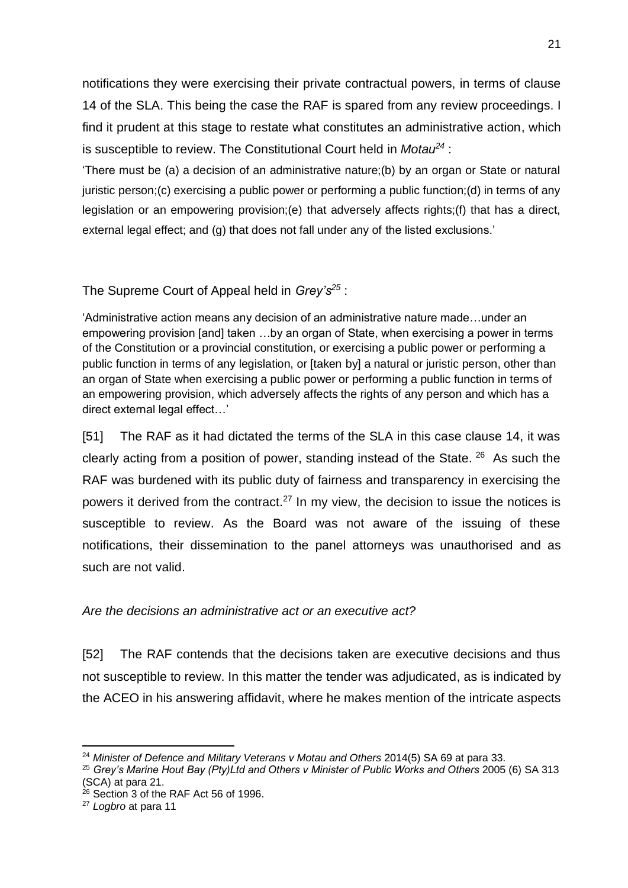notifications they were exercising their private contractual powers, in terms of clause 14 of the SLA. This being the case the RAF is spared from any review proceedings. I find it prudent at this stage to restate what constitutes an administrative action, which is susceptible to review. The Constitutional Court held in *Motau<sup>24</sup>* :

'There must be (a) a decision of an administrative nature;(b) by an organ or State or natural juristic person;(c) exercising a public power or performing a public function;(d) in terms of any legislation or an empowering provision;(e) that adversely affects rights;(f) that has a direct, external legal effect; and (g) that does not fall under any of the listed exclusions.'

# The Supreme Court of Appeal held in *Grey's<sup>25</sup>* :

'Administrative action means any decision of an administrative nature made…under an empowering provision [and] taken …by an organ of State, when exercising a power in terms of the Constitution or a provincial constitution, or exercising a public power or performing a public function in terms of any legislation, or [taken by] a natural or juristic person, other than an organ of State when exercising a public power or performing a public function in terms of an empowering provision, which adversely affects the rights of any person and which has a direct external legal effect…'

[51] The RAF as it had dictated the terms of the SLA in this case clause 14, it was clearly acting from a position of power, standing instead of the State. <sup>26</sup> As such the RAF was burdened with its public duty of fairness and transparency in exercising the powers it derived from the contract.<sup>27</sup> In my view, the decision to issue the notices is susceptible to review. As the Board was not aware of the issuing of these notifications, their dissemination to the panel attorneys was unauthorised and as such are not valid.

# *Are the decisions an administrative act or an executive act?*

[52] The RAF contends that the decisions taken are executive decisions and thus not susceptible to review. In this matter the tender was adjudicated, as is indicated by the ACEO in his answering affidavit, where he makes mention of the intricate aspects

<sup>24</sup> *Minister of Defence and Military Veterans v Motau and Others* 2014(5) SA 69 at para 33.

<sup>&</sup>lt;sup>25</sup> Grev's Marine Hout Bay (Pty)Ltd and Others v Minister of Public Works and Others 2005 (6) SA 313

<sup>(</sup>SCA) at para 21.

 $26$  Section 3 of the RAF Act 56 of 1996.

<sup>27</sup> *Logbro* at para 11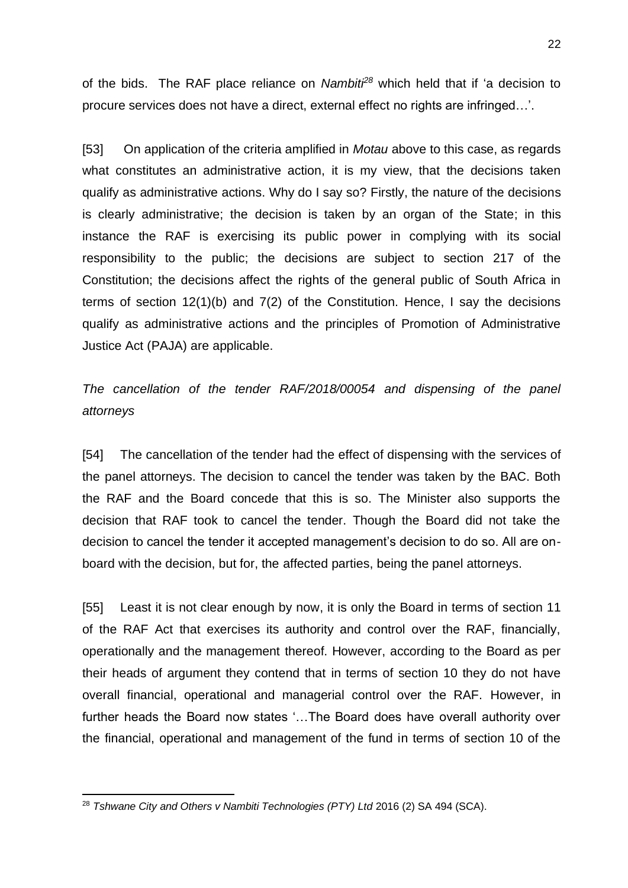of the bids. The RAF place reliance on *Nambiti<sup>28</sup>* which held that if 'a decision to procure services does not have a direct, external effect no rights are infringed…'.

[53] On application of the criteria amplified in *Motau* above to this case, as regards what constitutes an administrative action, it is my view, that the decisions taken qualify as administrative actions. Why do I say so? Firstly, the nature of the decisions is clearly administrative; the decision is taken by an organ of the State; in this instance the RAF is exercising its public power in complying with its social responsibility to the public; the decisions are subject to section 217 of the Constitution; the decisions affect the rights of the general public of South Africa in terms of section 12(1)(b) and 7(2) of the Constitution. Hence, I say the decisions qualify as administrative actions and the principles of Promotion of Administrative Justice Act (PAJA) are applicable.

*The cancellation of the tender RAF/2018/00054 and dispensing of the panel attorneys*

[54] The cancellation of the tender had the effect of dispensing with the services of the panel attorneys. The decision to cancel the tender was taken by the BAC. Both the RAF and the Board concede that this is so. The Minister also supports the decision that RAF took to cancel the tender. Though the Board did not take the decision to cancel the tender it accepted management's decision to do so. All are onboard with the decision, but for, the affected parties, being the panel attorneys.

[55] Least it is not clear enough by now, it is only the Board in terms of section 11 of the RAF Act that exercises its authority and control over the RAF, financially, operationally and the management thereof. However, according to the Board as per their heads of argument they contend that in terms of section 10 they do not have overall financial, operational and managerial control over the RAF. However, in further heads the Board now states '…The Board does have overall authority over the financial, operational and management of the fund in terms of section 10 of the

<sup>28</sup> *Tshwane City and Others v Nambiti Technologies (PTY) Ltd* 2016 (2) SA 494 (SCA).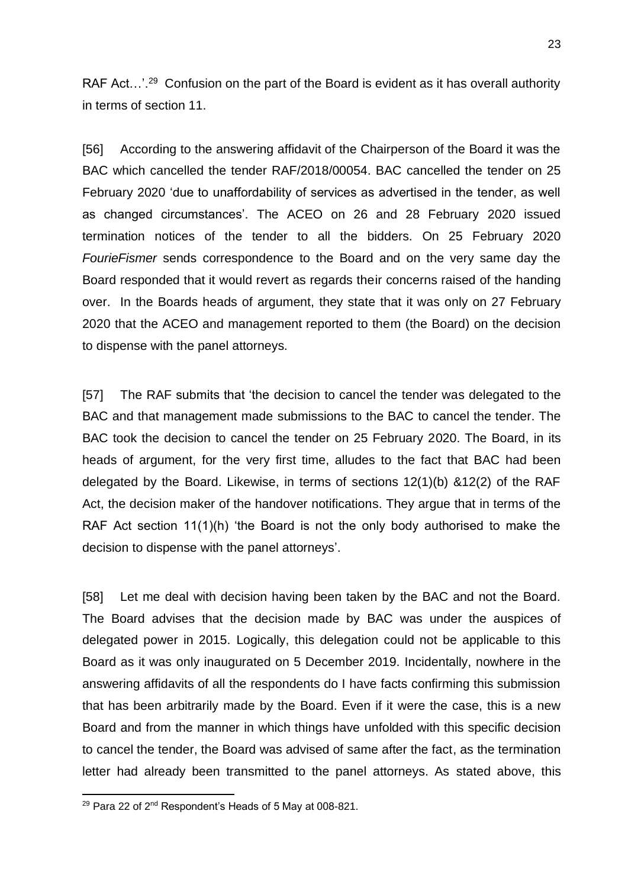RAF Act...'.<sup>29</sup> Confusion on the part of the Board is evident as it has overall authority in terms of section 11.

[56] According to the answering affidavit of the Chairperson of the Board it was the BAC which cancelled the tender RAF/2018/00054. BAC cancelled the tender on 25 February 2020 'due to unaffordability of services as advertised in the tender, as well as changed circumstances'. The ACEO on 26 and 28 February 2020 issued termination notices of the tender to all the bidders. On 25 February 2020 *FourieFismer* sends correspondence to the Board and on the very same day the Board responded that it would revert as regards their concerns raised of the handing over. In the Boards heads of argument, they state that it was only on 27 February 2020 that the ACEO and management reported to them (the Board) on the decision to dispense with the panel attorneys.

[57] The RAF submits that 'the decision to cancel the tender was delegated to the BAC and that management made submissions to the BAC to cancel the tender. The BAC took the decision to cancel the tender on 25 February 2020. The Board, in its heads of argument, for the very first time, alludes to the fact that BAC had been delegated by the Board. Likewise, in terms of sections 12(1)(b) &12(2) of the RAF Act, the decision maker of the handover notifications. They argue that in terms of the RAF Act section 11(1)(h) 'the Board is not the only body authorised to make the decision to dispense with the panel attorneys'.

[58] Let me deal with decision having been taken by the BAC and not the Board. The Board advises that the decision made by BAC was under the auspices of delegated power in 2015. Logically, this delegation could not be applicable to this Board as it was only inaugurated on 5 December 2019. Incidentally, nowhere in the answering affidavits of all the respondents do I have facts confirming this submission that has been arbitrarily made by the Board. Even if it were the case, this is a new Board and from the manner in which things have unfolded with this specific decision to cancel the tender, the Board was advised of same after the fact, as the termination letter had already been transmitted to the panel attorneys. As stated above, this

<sup>&</sup>lt;sup>29</sup> Para 22 of 2<sup>nd</sup> Respondent's Heads of 5 May at 008-821.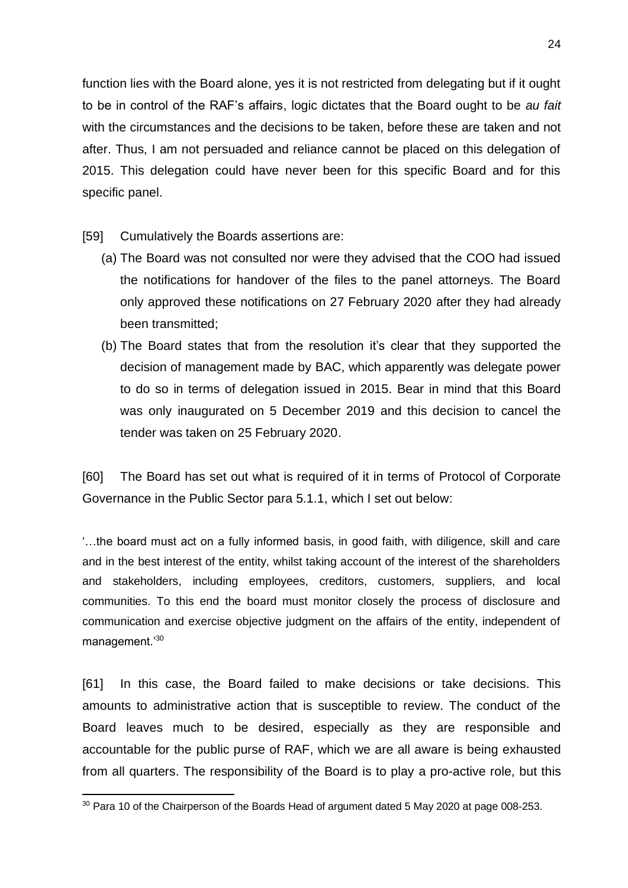function lies with the Board alone, yes it is not restricted from delegating but if it ought to be in control of the RAF's affairs, logic dictates that the Board ought to be *au fait* with the circumstances and the decisions to be taken, before these are taken and not after. Thus, I am not persuaded and reliance cannot be placed on this delegation of 2015. This delegation could have never been for this specific Board and for this specific panel.

- [59] Cumulatively the Boards assertions are:
	- (a) The Board was not consulted nor were they advised that the COO had issued the notifications for handover of the files to the panel attorneys. The Board only approved these notifications on 27 February 2020 after they had already been transmitted;
	- (b) The Board states that from the resolution it's clear that they supported the decision of management made by BAC, which apparently was delegate power to do so in terms of delegation issued in 2015. Bear in mind that this Board was only inaugurated on 5 December 2019 and this decision to cancel the tender was taken on 25 February 2020.

[60] The Board has set out what is required of it in terms of Protocol of Corporate Governance in the Public Sector para 5.1.1, which I set out below:

'…the board must act on a fully informed basis, in good faith, with diligence, skill and care and in the best interest of the entity, whilst taking account of the interest of the shareholders and stakeholders, including employees, creditors, customers, suppliers, and local communities. To this end the board must monitor closely the process of disclosure and communication and exercise objective judgment on the affairs of the entity, independent of management.'<sup>30</sup>

[61] In this case, the Board failed to make decisions or take decisions. This amounts to administrative action that is susceptible to review. The conduct of the Board leaves much to be desired, especially as they are responsible and accountable for the public purse of RAF, which we are all aware is being exhausted from all quarters. The responsibility of the Board is to play a pro-active role, but this

<sup>&</sup>lt;sup>30</sup> Para 10 of the Chairperson of the Boards Head of argument dated 5 May 2020 at page 008-253.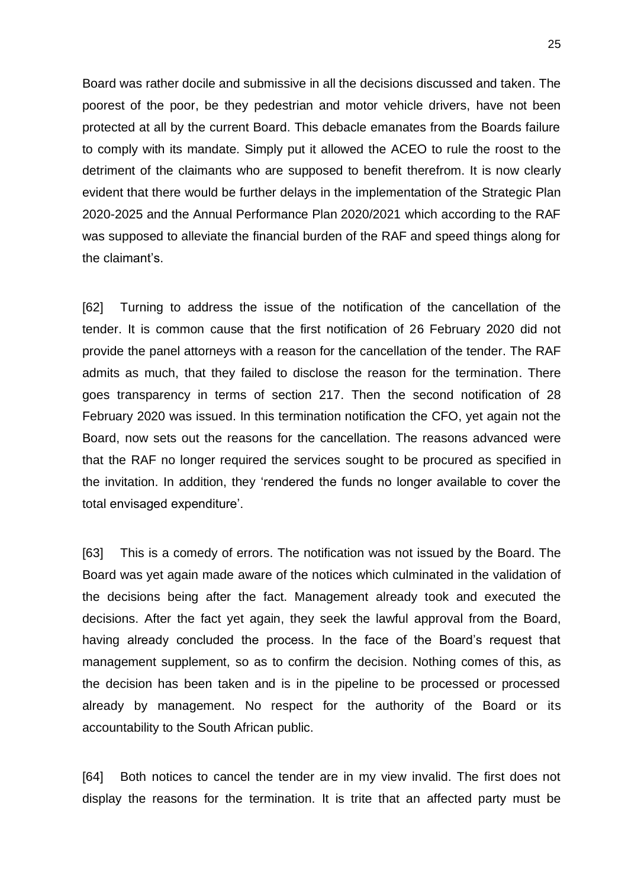Board was rather docile and submissive in all the decisions discussed and taken. The poorest of the poor, be they pedestrian and motor vehicle drivers, have not been protected at all by the current Board. This debacle emanates from the Boards failure to comply with its mandate. Simply put it allowed the ACEO to rule the roost to the detriment of the claimants who are supposed to benefit therefrom. It is now clearly evident that there would be further delays in the implementation of the Strategic Plan 2020-2025 and the Annual Performance Plan 2020/2021 which according to the RAF was supposed to alleviate the financial burden of the RAF and speed things along for the claimant's.

[62] Turning to address the issue of the notification of the cancellation of the tender. It is common cause that the first notification of 26 February 2020 did not provide the panel attorneys with a reason for the cancellation of the tender. The RAF admits as much, that they failed to disclose the reason for the termination. There goes transparency in terms of section 217. Then the second notification of 28 February 2020 was issued. In this termination notification the CFO, yet again not the Board, now sets out the reasons for the cancellation. The reasons advanced were that the RAF no longer required the services sought to be procured as specified in the invitation. In addition, they 'rendered the funds no longer available to cover the total envisaged expenditure'.

[63] This is a comedy of errors. The notification was not issued by the Board. The Board was yet again made aware of the notices which culminated in the validation of the decisions being after the fact. Management already took and executed the decisions. After the fact yet again, they seek the lawful approval from the Board, having already concluded the process. In the face of the Board's request that management supplement, so as to confirm the decision. Nothing comes of this, as the decision has been taken and is in the pipeline to be processed or processed already by management. No respect for the authority of the Board or its accountability to the South African public.

[64] Both notices to cancel the tender are in my view invalid. The first does not display the reasons for the termination. It is trite that an affected party must be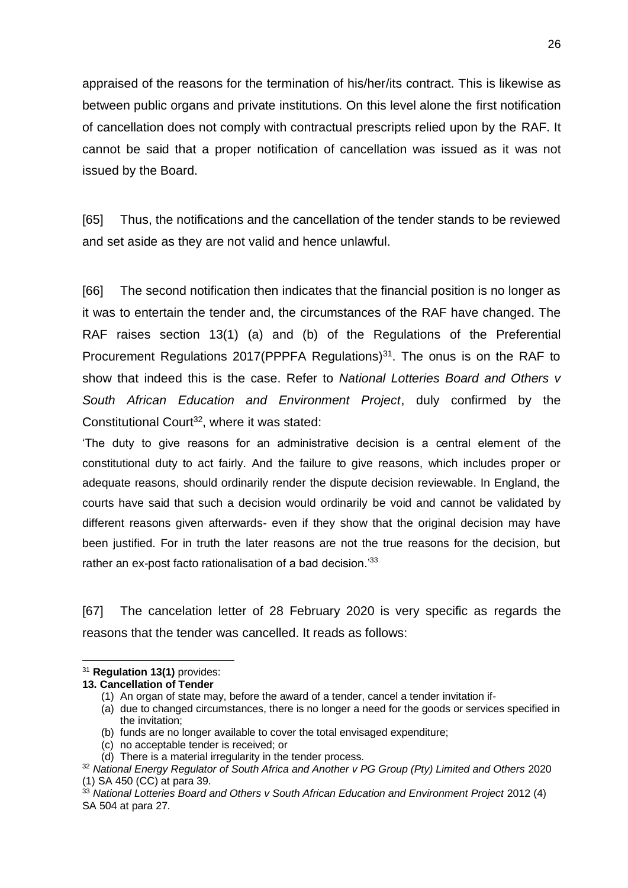appraised of the reasons for the termination of his/her/its contract. This is likewise as between public organs and private institutions. On this level alone the first notification of cancellation does not comply with contractual prescripts relied upon by the RAF. It cannot be said that a proper notification of cancellation was issued as it was not issued by the Board.

[65] Thus, the notifications and the cancellation of the tender stands to be reviewed and set aside as they are not valid and hence unlawful.

[66] The second notification then indicates that the financial position is no longer as it was to entertain the tender and, the circumstances of the RAF have changed. The RAF raises section 13(1) (a) and (b) of the Regulations of the Preferential Procurement Regulations 2017(PPPFA Regulations) $31$ . The onus is on the RAF to show that indeed this is the case. Refer to *National Lotteries Board and Others v South African Education and Environment Project*, duly confirmed by the Constitutional Court<sup>32</sup>, where it was stated:

'The duty to give reasons for an administrative decision is a central element of the constitutional duty to act fairly. And the failure to give reasons, which includes proper or adequate reasons, should ordinarily render the dispute decision reviewable. In England, the courts have said that such a decision would ordinarily be void and cannot be validated by different reasons given afterwards- even if they show that the original decision may have been justified. For in truth the later reasons are not the true reasons for the decision, but rather an ex-post facto rationalisation of a bad decision.<sup>'33</sup>

[67] The cancelation letter of 28 February 2020 is very specific as regards the reasons that the tender was cancelled. It reads as follows:

- (b) funds are no longer available to cover the total envisaged expenditure;
- (c) no acceptable tender is received; or
- (d) There is a material irregularity in the tender process.

<sup>31</sup> **Regulation 13(1)** provides:

**<sup>13.</sup> Cancellation of Tender**

<sup>(1)</sup> An organ of state may, before the award of a tender, cancel a tender invitation if-

<sup>(</sup>a) due to changed circumstances, there is no longer a need for the goods or services specified in the invitation;

<sup>32</sup> *National Energy Regulator of South Africa and Another v PG Group (Pty) Limited and Others* 2020 (1) SA 450 (CC) at para 39.

<sup>33</sup> *National Lotteries Board and Others v South African Education and Environment Project* 2012 (4) SA 504 at para 27.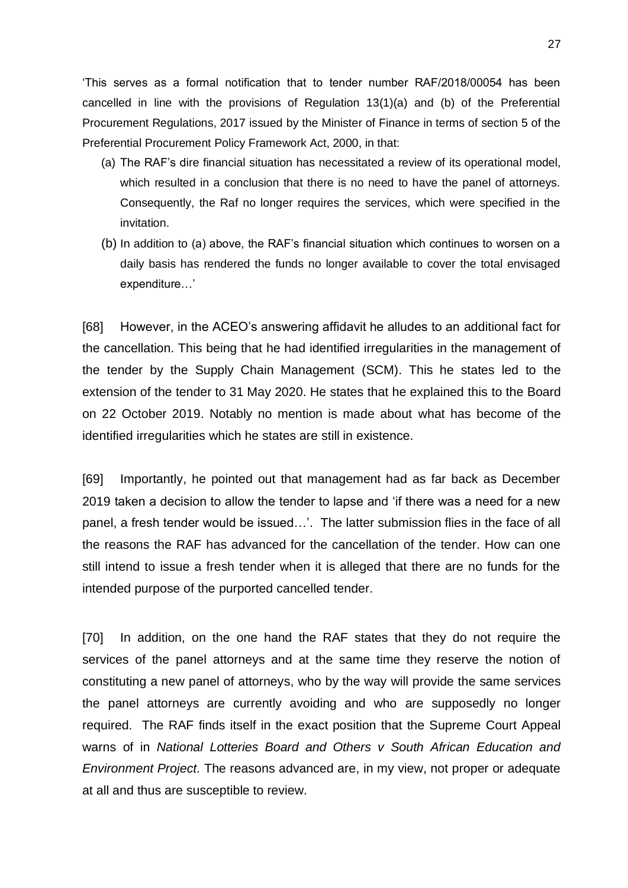'This serves as a formal notification that to tender number RAF/2018/00054 has been cancelled in line with the provisions of Regulation 13(1)(a) and (b) of the Preferential Procurement Regulations, 2017 issued by the Minister of Finance in terms of section 5 of the Preferential Procurement Policy Framework Act, 2000, in that:

- (a) The RAF's dire financial situation has necessitated a review of its operational model, which resulted in a conclusion that there is no need to have the panel of attorneys. Consequently, the Raf no longer requires the services, which were specified in the invitation.
- (b) In addition to (a) above, the RAF's financial situation which continues to worsen on a daily basis has rendered the funds no longer available to cover the total envisaged expenditure…'

[68] However, in the ACEO's answering affidavit he alludes to an additional fact for the cancellation. This being that he had identified irregularities in the management of the tender by the Supply Chain Management (SCM). This he states led to the extension of the tender to 31 May 2020. He states that he explained this to the Board on 22 October 2019. Notably no mention is made about what has become of the identified irregularities which he states are still in existence.

[69] Importantly, he pointed out that management had as far back as December 2019 taken a decision to allow the tender to lapse and 'if there was a need for a new panel, a fresh tender would be issued…'. The latter submission flies in the face of all the reasons the RAF has advanced for the cancellation of the tender. How can one still intend to issue a fresh tender when it is alleged that there are no funds for the intended purpose of the purported cancelled tender.

[70] In addition, on the one hand the RAF states that they do not require the services of the panel attorneys and at the same time they reserve the notion of constituting a new panel of attorneys, who by the way will provide the same services the panel attorneys are currently avoiding and who are supposedly no longer required. The RAF finds itself in the exact position that the Supreme Court Appeal warns of in *National Lotteries Board and Others v South African Education and Environment Project.* The reasons advanced are, in my view, not proper or adequate at all and thus are susceptible to review.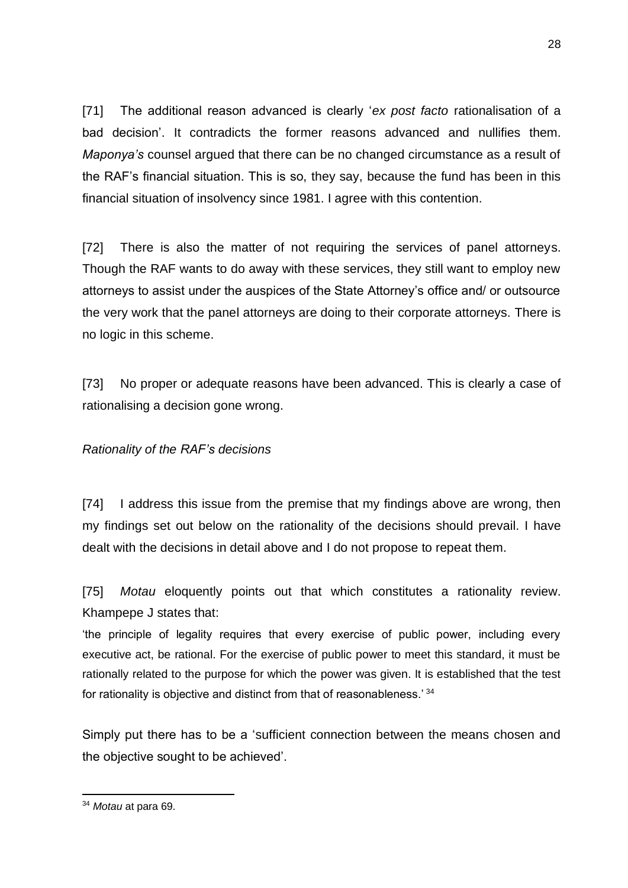[71] The additional reason advanced is clearly '*ex post facto* rationalisation of a bad decision'. It contradicts the former reasons advanced and nullifies them. *Maponya's* counsel argued that there can be no changed circumstance as a result of the RAF's financial situation. This is so, they say, because the fund has been in this financial situation of insolvency since 1981. I agree with this contention.

[72] There is also the matter of not requiring the services of panel attorneys. Though the RAF wants to do away with these services, they still want to employ new attorneys to assist under the auspices of the State Attorney's office and/ or outsource the very work that the panel attorneys are doing to their corporate attorneys. There is no logic in this scheme.

[73] No proper or adequate reasons have been advanced. This is clearly a case of rationalising a decision gone wrong.

# *Rationality of the RAF's decisions*

[74] I address this issue from the premise that my findings above are wrong, then my findings set out below on the rationality of the decisions should prevail. I have dealt with the decisions in detail above and I do not propose to repeat them.

[75] *Motau* eloquently points out that which constitutes a rationality review. Khampepe J states that:

'the principle of legality requires that every exercise of public power, including every executive act, be rational. For the exercise of public power to meet this standard, it must be rationally related to the purpose for which the power was given. It is established that the test for rationality is objective and distinct from that of reasonableness.<sup>'34</sup>

Simply put there has to be a 'sufficient connection between the means chosen and the objective sought to be achieved'.

<sup>34</sup> *Motau* at para 69.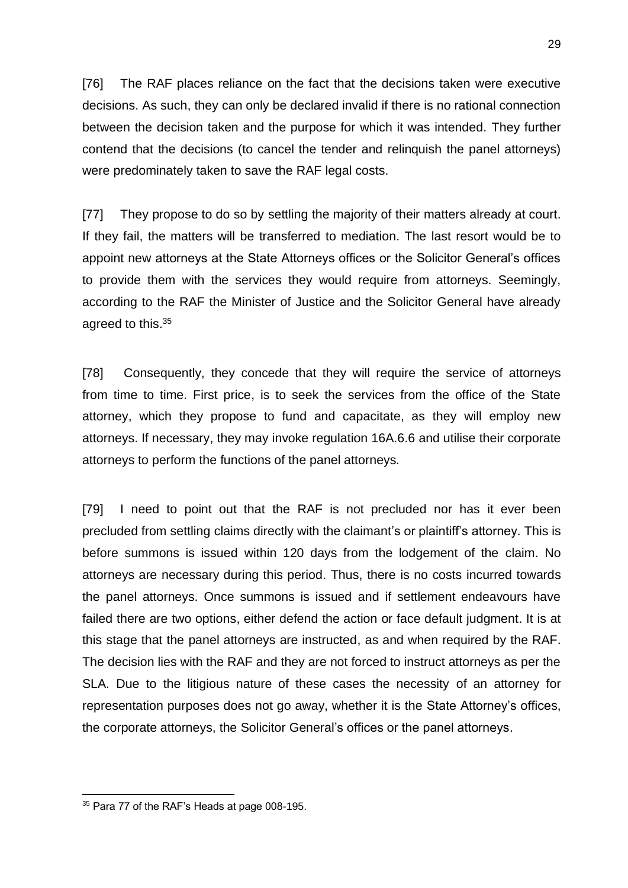[76] The RAF places reliance on the fact that the decisions taken were executive decisions. As such, they can only be declared invalid if there is no rational connection between the decision taken and the purpose for which it was intended. They further contend that the decisions (to cancel the tender and relinquish the panel attorneys) were predominately taken to save the RAF legal costs.

[77] They propose to do so by settling the majority of their matters already at court. If they fail, the matters will be transferred to mediation. The last resort would be to appoint new attorneys at the State Attorneys offices or the Solicitor General's offices to provide them with the services they would require from attorneys. Seemingly, according to the RAF the Minister of Justice and the Solicitor General have already agreed to this.<sup>35</sup>

[78] Consequently, they concede that they will require the service of attorneys from time to time. First price, is to seek the services from the office of the State attorney, which they propose to fund and capacitate, as they will employ new attorneys. If necessary, they may invoke regulation 16A.6.6 and utilise their corporate attorneys to perform the functions of the panel attorneys.

[79] I need to point out that the RAF is not precluded nor has it ever been precluded from settling claims directly with the claimant's or plaintiff's attorney. This is before summons is issued within 120 days from the lodgement of the claim. No attorneys are necessary during this period. Thus, there is no costs incurred towards the panel attorneys. Once summons is issued and if settlement endeavours have failed there are two options, either defend the action or face default judgment. It is at this stage that the panel attorneys are instructed, as and when required by the RAF. The decision lies with the RAF and they are not forced to instruct attorneys as per the SLA. Due to the litigious nature of these cases the necessity of an attorney for representation purposes does not go away, whether it is the State Attorney's offices, the corporate attorneys, the Solicitor General's offices or the panel attorneys.

<sup>&</sup>lt;sup>35</sup> Para 77 of the RAF's Heads at page 008-195.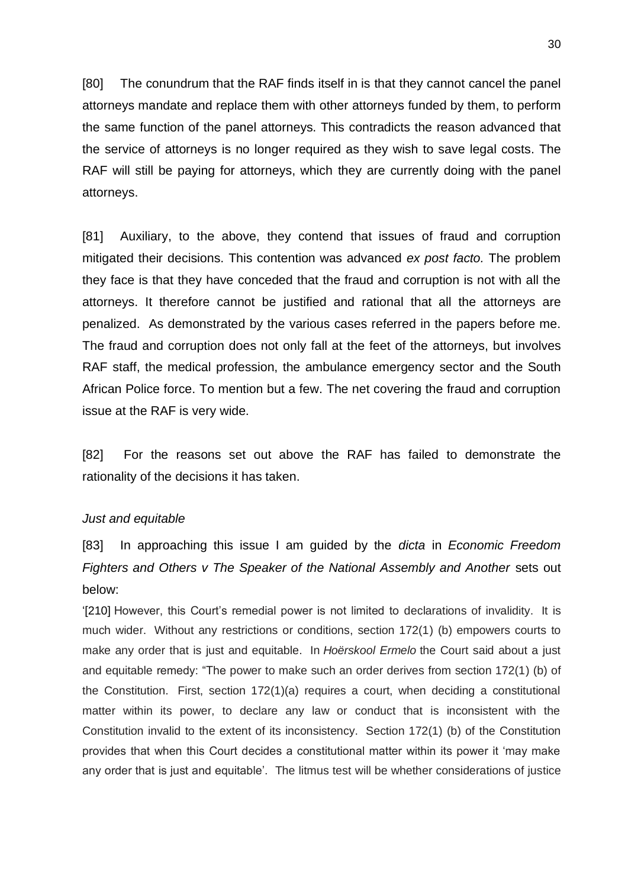[80] The conundrum that the RAF finds itself in is that they cannot cancel the panel attorneys mandate and replace them with other attorneys funded by them, to perform the same function of the panel attorneys. This contradicts the reason advanced that the service of attorneys is no longer required as they wish to save legal costs. The RAF will still be paying for attorneys, which they are currently doing with the panel attorneys.

[81] Auxiliary, to the above, they contend that issues of fraud and corruption mitigated their decisions. This contention was advanced *ex post facto.* The problem they face is that they have conceded that the fraud and corruption is not with all the attorneys. It therefore cannot be justified and rational that all the attorneys are penalized. As demonstrated by the various cases referred in the papers before me. The fraud and corruption does not only fall at the feet of the attorneys, but involves RAF staff, the medical profession, the ambulance emergency sector and the South African Police force. To mention but a few. The net covering the fraud and corruption issue at the RAF is very wide.

[82] For the reasons set out above the RAF has failed to demonstrate the rationality of the decisions it has taken.

#### *Just and equitable*

[83] In approaching this issue I am guided by the *dicta* in *Economic Freedom Fighters and Others v The Speaker of the National Assembly and Another* sets out below:

'[210] However, this Court's remedial power is not limited to declarations of invalidity. It is much wider. Without any restrictions or conditions, section 172(1) (b) empowers courts to make any order that is just and equitable. In *Hoërskool Ermelo* the Court said about a just and equitable remedy: "The power to make such an order derives from section 172(1) (b) of the Constitution. First, section 172(1)(a) requires a court, when deciding a constitutional matter within its power, to declare any law or conduct that is inconsistent with the Constitution invalid to the extent of its inconsistency. Section 172(1) (b) of the Constitution provides that when this Court decides a constitutional matter within its power it 'may make any order that is just and equitable'. The litmus test will be whether considerations of justice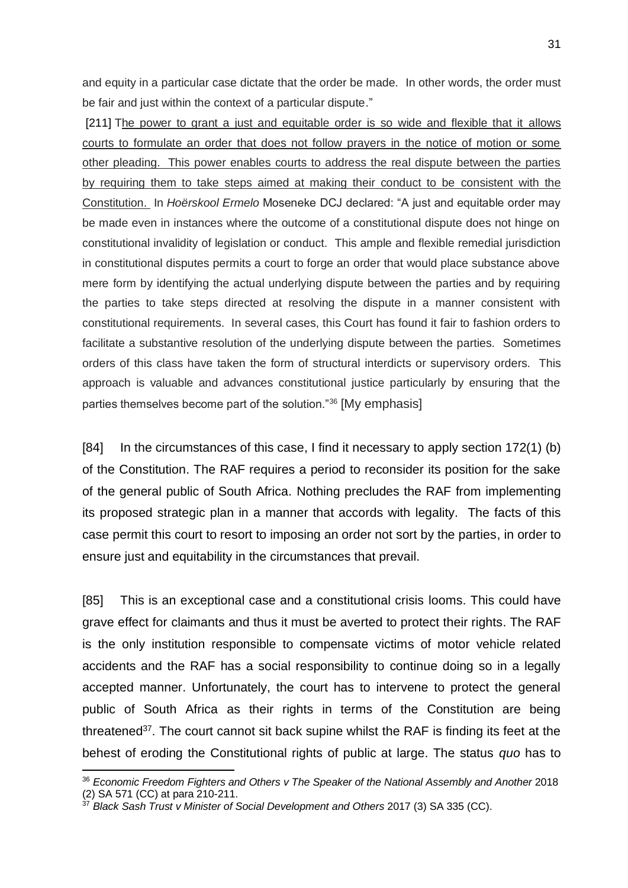and equity in a particular case dictate that the order be made. In other words, the order must be fair and just within the context of a particular dispute."

[211] The power to grant a just and equitable order is so wide and flexible that it allows courts to formulate an order that does not follow prayers in the notice of motion or some other pleading. This power enables courts to address the real dispute between the parties by requiring them to take steps aimed at making their conduct to be consistent with the Constitution. In *Hoërskool Ermelo* Moseneke DCJ declared: "A just and equitable order may be made even in instances where the outcome of a constitutional dispute does not hinge on constitutional invalidity of legislation or conduct. This ample and flexible remedial jurisdiction in constitutional disputes permits a court to forge an order that would place substance above mere form by identifying the actual underlying dispute between the parties and by requiring the parties to take steps directed at resolving the dispute in a manner consistent with constitutional requirements. In several cases, this Court has found it fair to fashion orders to facilitate a substantive resolution of the underlying dispute between the parties. Sometimes orders of this class have taken the form of structural interdicts or supervisory orders. This approach is valuable and advances constitutional justice particularly by ensuring that the parties themselves become part of the solution."<sup>36</sup> [My emphasis]

[84] In the circumstances of this case, I find it necessary to apply section 172(1) (b) of the Constitution. The RAF requires a period to reconsider its position for the sake of the general public of South Africa. Nothing precludes the RAF from implementing its proposed strategic plan in a manner that accords with legality. The facts of this case permit this court to resort to imposing an order not sort by the parties, in order to ensure just and equitability in the circumstances that prevail.

[85] This is an exceptional case and a constitutional crisis looms. This could have grave effect for claimants and thus it must be averted to protect their rights. The RAF is the only institution responsible to compensate victims of motor vehicle related accidents and the RAF has a social responsibility to continue doing so in a legally accepted manner. Unfortunately, the court has to intervene to protect the general public of South Africa as their rights in terms of the Constitution are being threatened<sup>37</sup>. The court cannot sit back supine whilst the RAF is finding its feet at the behest of eroding the Constitutional rights of public at large. The status *quo* has to

<sup>36</sup> *Economic Freedom Fighters and Others v The Speaker of the National Assembly and Another* 2018 (2) SA 571 (CC) at para 210-211.

<sup>37</sup> *Black Sash Trust v Minister of Social Development and Others* 2017 (3) SA 335 (CC).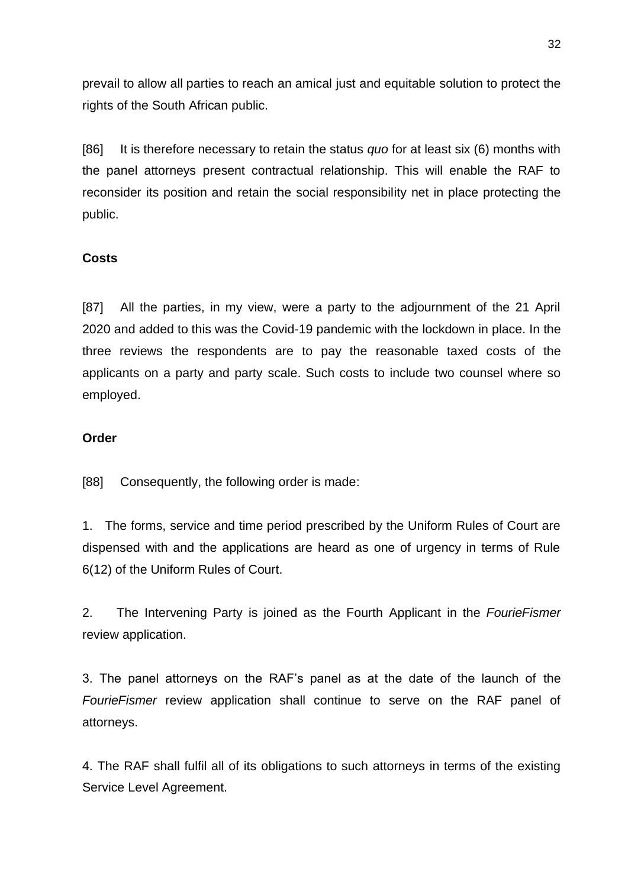prevail to allow all parties to reach an amical just and equitable solution to protect the rights of the South African public.

[86] It is therefore necessary to retain the status *quo* for at least six (6) months with the panel attorneys present contractual relationship. This will enable the RAF to reconsider its position and retain the social responsibility net in place protecting the public.

# **Costs**

[87] All the parties, in my view, were a party to the adjournment of the 21 April 2020 and added to this was the Covid-19 pandemic with the lockdown in place. In the three reviews the respondents are to pay the reasonable taxed costs of the applicants on a party and party scale. Such costs to include two counsel where so employed.

## **Order**

[88] Consequently, the following order is made:

1. The forms, service and time period prescribed by the Uniform Rules of Court are dispensed with and the applications are heard as one of urgency in terms of Rule 6(12) of the Uniform Rules of Court.

2. The Intervening Party is joined as the Fourth Applicant in the *FourieFismer* review application.

3. The panel attorneys on the RAF's panel as at the date of the launch of the *FourieFismer* review application shall continue to serve on the RAF panel of attorneys.

4. The RAF shall fulfil all of its obligations to such attorneys in terms of the existing Service Level Agreement.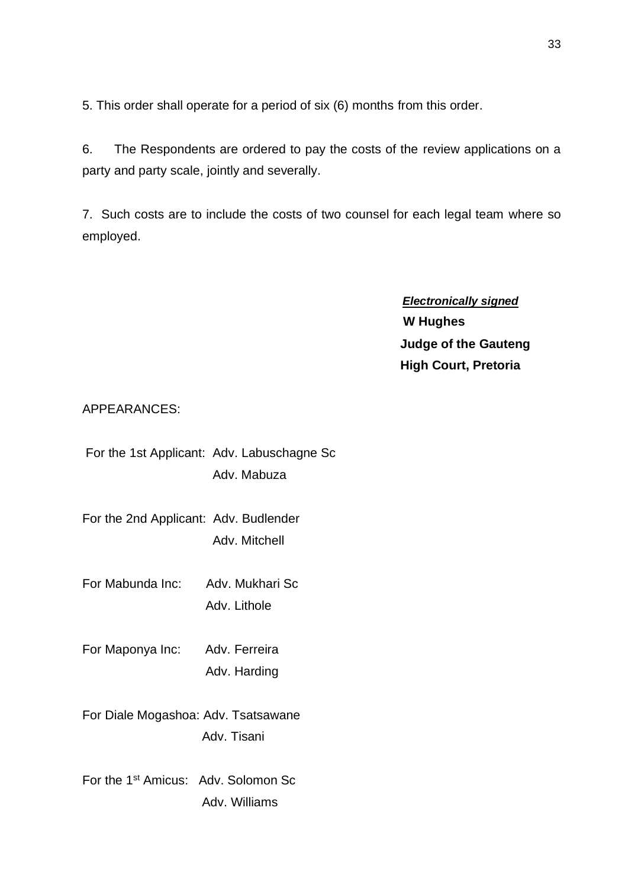5. This order shall operate for a period of six (6) months from this order.

6. The Respondents are ordered to pay the costs of the review applications on a party and party scale, jointly and severally.

7. Such costs are to include the costs of two counsel for each legal team where so employed.

> *Electronically signed*  **W Hughes Judge of the Gauteng High Court, Pretoria**

# APPEARANCES:

| For the 1st Applicant: Adv. Labuschagne Sc |
|--------------------------------------------|
| Adv. Mabuza                                |

For the 2nd Applicant: Adv. Budlender Adv. Mitchell

For Mabunda Inc: Adv. Mukhari Sc Adv. Lithole

For Maponya Inc: Adv. Ferreira Adv. Harding

For Diale Mogashoa: Adv. Tsatsawane Adv. Tisani

For the 1st Amicus: Adv. Solomon Sc Adv. Williams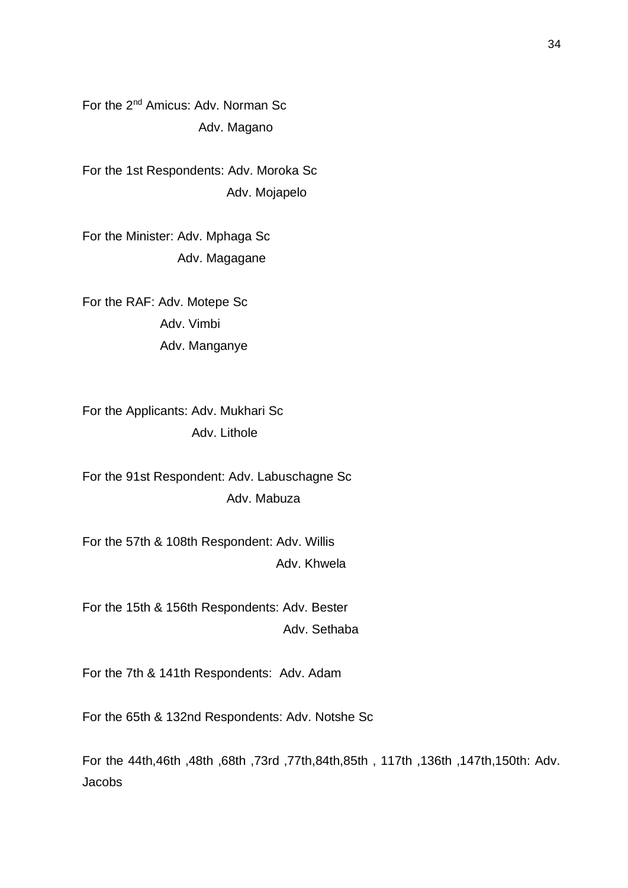For the 2nd Amicus: Adv. Norman Sc Adv. Magano

For the 1st Respondents: Adv. Moroka Sc Adv. Mojapelo

For the Minister: Adv. Mphaga Sc Adv. Magagane

For the RAF: Adv. Motepe Sc Adv. Vimbi Adv. Manganye

For the Applicants: Adv. Mukhari Sc Adv. Lithole

For the 91st Respondent: Adv. Labuschagne Sc Adv. Mabuza

For the 57th & 108th Respondent: Adv. Willis Adv. Khwela

For the 15th & 156th Respondents: Adv. Bester Adv. Sethaba

For the 7th & 141th Respondents: Adv. Adam

For the 65th & 132nd Respondents: Adv. Notshe Sc

For the 44th,46th ,48th ,68th ,73rd ,77th,84th,85th , 117th ,136th ,147th,150th: Adv. Jacobs